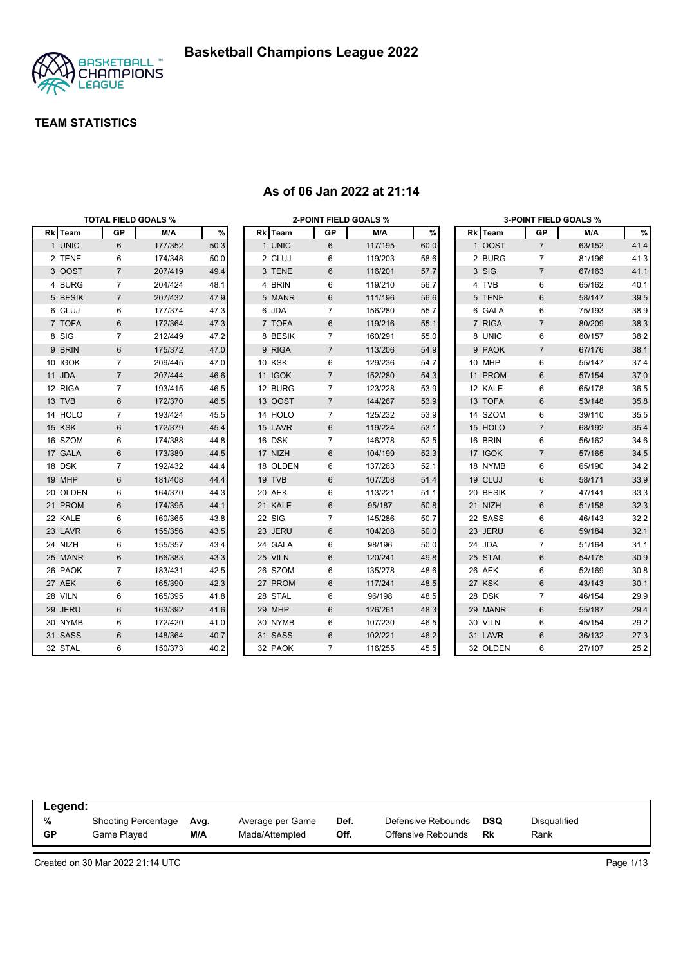

|          |                | <b>TOTAL FIELD GOALS %</b> |      |               | <b>2-POINT FIELD GOALS %</b> |         |      |          |                | <b>3-POINT FIELD GOALS %</b> |      |
|----------|----------------|----------------------------|------|---------------|------------------------------|---------|------|----------|----------------|------------------------------|------|
| Rk Team  | <b>GP</b>      | M/A                        | %    | Rk Team       | GP                           | M/A     | $\%$ | Rk Team  | <b>GP</b>      | M/A                          | %    |
| 1 UNIC   | 6              | 177/352                    | 50.3 | 1 UNIC        | 6                            | 117/195 | 60.0 | 1 OOST   | $\overline{7}$ | 63/152                       | 41.4 |
| 2 TENE   | 6              | 174/348                    | 50.0 | 2 CLUJ        | 6                            | 119/203 | 58.6 | 2 BURG   | 7              | 81/196                       | 41.3 |
| 3 OOST   | $\overline{7}$ | 207/419                    | 49.4 | 3 TENE        | 6                            | 116/201 | 57.7 | 3 SIG    | $\overline{7}$ | 67/163                       | 41.1 |
| 4 BURG   | $\overline{7}$ | 204/424                    | 48.1 | 4 BRIN        | 6                            | 119/210 | 56.7 | 4 TVB    | 6              | 65/162                       | 40.1 |
| 5 BESIK  | $\overline{7}$ | 207/432                    | 47.9 | 5 MANR        | 6                            | 111/196 | 56.6 | 5 TENE   | 6              | 58/147                       | 39.5 |
| 6 CLUJ   | 6              | 177/374                    | 47.3 | 6 JDA         | 7                            | 156/280 | 55.7 | 6 GALA   | 6              | 75/193                       | 38.9 |
| 7 TOFA   | 6              | 172/364                    | 47.3 | 7 TOFA        | 6                            | 119/216 | 55.1 | 7 RIGA   | $\overline{7}$ | 80/209                       | 38.3 |
| 8 SIG    | $\overline{7}$ | 212/449                    | 47.2 | 8 BESIK       | 7                            | 160/291 | 55.0 | 8 UNIC   | 6              | 60/157                       | 38.2 |
| 9 BRIN   | $6\phantom{1}$ | 175/372                    | 47.0 | 9 RIGA        | $\overline{7}$               | 113/206 | 54.9 | 9 PAOK   | $\overline{7}$ | 67/176                       | 38.1 |
| 10 IGOK  | 7              | 209/445                    | 47.0 | <b>10 KSK</b> | 6                            | 129/236 | 54.7 | 10 MHP   | 6              | 55/147                       | 37.4 |
| 11 JDA   | $\overline{7}$ | 207/444                    | 46.6 | 11 IGOK       | $\overline{7}$               | 152/280 | 54.3 | 11 PROM  | 6              | 57/154                       | 37.0 |
| 12 RIGA  | $\overline{7}$ | 193/415                    | 46.5 | 12 BURG       | $\overline{7}$               | 123/228 | 53.9 | 12 KALE  | 6              | 65/178                       | 36.5 |
| 13 TVB   | 6              | 172/370                    | 46.5 | 13 OOST       | $\overline{7}$               | 144/267 | 53.9 | 13 TOFA  | 6              | 53/148                       | 35.8 |
| 14 HOLO  | $\overline{7}$ | 193/424                    | 45.5 | 14 HOLO       | $\overline{7}$               | 125/232 | 53.9 | 14 SZOM  | 6              | 39/110                       | 35.5 |
| 15 KSK   | 6              | 172/379                    | 45.4 | 15 LAVR       | 6                            | 119/224 | 53.1 | 15 HOLO  | $\overline{7}$ | 68/192                       | 35.4 |
| 16 SZOM  | 6              | 174/388                    | 44.8 | 16 DSK        | $\overline{7}$               | 146/278 | 52.5 | 16 BRIN  | 6              | 56/162                       | 34.6 |
| 17 GALA  | 6              | 173/389                    | 44.5 | 17 NIZH       | 6                            | 104/199 | 52.3 | 17 IGOK  | $\overline{7}$ | 57/165                       | 34.5 |
| 18 DSK   | 7              | 192/432                    | 44.4 | 18 OLDEN      | 6                            | 137/263 | 52.1 | 18 NYMB  | 6              | 65/190                       | 34.2 |
| 19 MHP   | 6              | 181/408                    | 44.4 | 19 TVB        | 6                            | 107/208 | 51.4 | 19 CLUJ  | 6              | 58/171                       | 33.9 |
| 20 OLDEN | 6              | 164/370                    | 44.3 | 20 AEK        | 6                            | 113/221 | 51.1 | 20 BESIK | $\overline{7}$ | 47/141                       | 33.3 |
| 21 PROM  | 6              | 174/395                    | 44.1 | 21 KALE       | 6                            | 95/187  | 50.8 | 21 NIZH  | 6              | 51/158                       | 32.3 |
| 22 KALE  | 6              | 160/365                    | 43.8 | 22 SIG        | $\overline{7}$               | 145/286 | 50.7 | 22 SASS  | 6              | 46/143                       | 32.2 |
| 23 LAVR  | 6              | 155/356                    | 43.5 | 23 JERU       | 6                            | 104/208 | 50.0 | 23 JERU  | 6              | 59/184                       | 32.1 |
| 24 NIZH  | 6              | 155/357                    | 43.4 | 24 GALA       | 6                            | 98/196  | 50.0 | 24 JDA   | $\overline{7}$ | 51/164                       | 31.1 |
| 25 MANR  | 6              | 166/383                    | 43.3 | 25 VILN       | 6                            | 120/241 | 49.8 | 25 STAL  | 6              | 54/175                       | 30.9 |
| 26 PAOK  | $\overline{7}$ | 183/431                    | 42.5 | 26 SZOM       | 6                            | 135/278 | 48.6 | 26 AEK   | 6              | 52/169                       | 30.8 |
| 27 AEK   | 6              | 165/390                    | 42.3 | 27 PROM       | 6                            | 117/241 | 48.5 | 27 KSK   | 6              | 43/143                       | 30.1 |
| 28 VILN  | 6              | 165/395                    | 41.8 | 28 STAL       | 6                            | 96/198  | 48.5 | 28 DSK   | $\overline{7}$ | 46/154                       | 29.9 |
| 29 JERU  | 6              | 163/392                    | 41.6 | 29 MHP        | 6                            | 126/261 | 48.3 | 29 MANR  | 6              | 55/187                       | 29.4 |
| 30 NYMB  | 6              | 172/420                    | 41.0 | 30 NYMB       | 6                            | 107/230 | 46.5 | 30 VILN  | 6              | 45/154                       | 29.2 |
| 31 SASS  | 6              | 148/364                    | 40.7 | 31 SASS       | 6                            | 102/221 | 46.2 | 31 LAVR  | 6              | 36/132                       | 27.3 |
| 32 STAL  | 6              | 150/373                    | 40.2 | 32 PAOK       | $\overline{7}$               | 116/255 | 45.5 | 32 OLDEN | 6              | 27/107                       | 25.2 |

#### **As of 06 Jan 2022 at 21:14**

| Legend:   |                            |      |                  |      |                    |            |              |
|-----------|----------------------------|------|------------------|------|--------------------|------------|--------------|
| %         | <b>Shooting Percentage</b> | Avg. | Average per Game | Def. | Defensive Rebounds | <b>DSQ</b> | Disqualified |
| <b>GP</b> | Game Played                | M/A  | Made/Attempted   | Off. | Offensive Rebounds | Rk         | Rank         |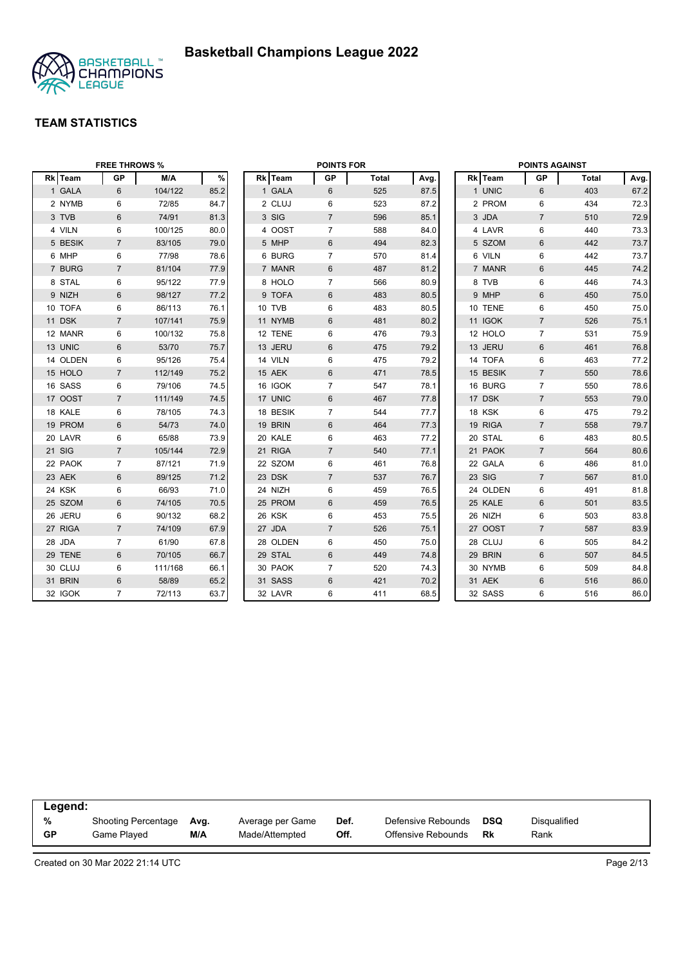

|          | <b>FREE THROWS %</b> |         |      |          | <b>POINTS FOR</b> |              |      |          | <b>POINTS AGAINST</b> |              |      |
|----------|----------------------|---------|------|----------|-------------------|--------------|------|----------|-----------------------|--------------|------|
| Rk Team  | <b>GP</b>            | M/A     | $\%$ | Rk Team  | <b>GP</b>         | <b>Total</b> | Avg. | Rk Team  | <b>GP</b>             | <b>Total</b> | Avg. |
| 1 GALA   | 6                    | 104/122 | 85.2 | 1 GALA   | 6                 | 525          | 87.5 | 1 UNIC   | 6                     | 403          | 67.2 |
| 2 NYMB   | 6                    | 72/85   | 84.7 | 2 CLUJ   | 6                 | 523          | 87.2 | 2 PROM   | 6                     | 434          | 72.3 |
| 3 TVB    | 6                    | 74/91   | 81.3 | 3 SIG    | $\overline{7}$    | 596          | 85.1 | 3 JDA    | $\overline{7}$        | 510          | 72.9 |
| 4 VILN   | 6                    | 100/125 | 80.0 | 4 OOST   | $\overline{7}$    | 588          | 84.0 | 4 LAVR   | 6                     | 440          | 73.3 |
| 5 BESIK  | $\overline{7}$       | 83/105  | 79.0 | 5 MHP    | 6                 | 494          | 82.3 | 5 SZOM   | $6\phantom{1}$        | 442          | 73.7 |
| 6 MHP    | 6                    | 77/98   | 78.6 | 6 BURG   | $\overline{7}$    | 570          | 81.4 | 6 VILN   | 6                     | 442          | 73.7 |
| 7 BURG   | $\overline{7}$       | 81/104  | 77.9 | 7 MANR   | $6\phantom{1}$    | 487          | 81.2 | 7 MANR   | $6\phantom{1}$        | 445          | 74.2 |
| 8 STAL   | 6                    | 95/122  | 77.9 | 8 HOLO   | $\overline{7}$    | 566          | 80.9 | 8 TVB    | 6                     | 446          | 74.3 |
| 9 NIZH   | 6                    | 98/127  | 77.2 | 9 TOFA   | 6                 | 483          | 80.5 | 9 MHP    | 6                     | 450          | 75.0 |
| 10 TOFA  | 6                    | 86/113  | 76.1 | 10 TVB   | 6                 | 483          | 80.5 | 10 TENE  | 6                     | 450          | 75.0 |
| 11 DSK   | $\overline{7}$       | 107/141 | 75.9 | 11 NYMB  | 6                 | 481          | 80.2 | 11 IGOK  | $\overline{7}$        | 526          | 75.1 |
| 12 MANR  | 6                    | 100/132 | 75.8 | 12 TENE  | 6                 | 476          | 79.3 | 12 HOLO  | $\overline{7}$        | 531          | 75.9 |
| 13 UNIC  | 6                    | 53/70   | 75.7 | 13 JERU  | 6                 | 475          | 79.2 | 13 JERU  | 6                     | 461          | 76.8 |
| 14 OLDEN | 6                    | 95/126  | 75.4 | 14 VILN  | 6                 | 475          | 79.2 | 14 TOFA  | 6                     | 463          | 77.2 |
| 15 HOLO  | $\overline{7}$       | 112/149 | 75.2 | 15 AEK   | 6                 | 471          | 78.5 | 15 BESIK | $\overline{7}$        | 550          | 78.6 |
| 16 SASS  | 6                    | 79/106  | 74.5 | 16 IGOK  | $\overline{7}$    | 547          | 78.1 | 16 BURG  | $\overline{7}$        | 550          | 78.6 |
| 17 OOST  | $\overline{7}$       | 111/149 | 74.5 | 17 UNIC  | $6\phantom{1}$    | 467          | 77.8 | 17 DSK   | $\overline{7}$        | 553          | 79.0 |
| 18 KALE  | 6                    | 78/105  | 74.3 | 18 BESIK | $\overline{7}$    | 544          | 77.7 | 18 KSK   | 6                     | 475          | 79.2 |
| 19 PROM  | 6                    | 54/73   | 74.0 | 19 BRIN  | 6                 | 464          | 77.3 | 19 RIGA  | $\overline{7}$        | 558          | 79.7 |
| 20 LAVR  | 6                    | 65/88   | 73.9 | 20 KALE  | 6                 | 463          | 77.2 | 20 STAL  | 6                     | 483          | 80.5 |
| 21 SIG   | $\overline{7}$       | 105/144 | 72.9 | 21 RIGA  | $\overline{7}$    | 540          | 77.1 | 21 PAOK  | $\overline{7}$        | 564          | 80.6 |
| 22 PAOK  | 7                    | 87/121  | 71.9 | 22 SZOM  | 6                 | 461          | 76.8 | 22 GALA  | 6                     | 486          | 81.0 |
| 23 AEK   | 6                    | 89/125  | 71.2 | 23 DSK   | $\overline{7}$    | 537          | 76.7 | 23 SIG   | $\overline{7}$        | 567          | 81.0 |
| 24 KSK   | 6                    | 66/93   | 71.0 | 24 NIZH  | 6                 | 459          | 76.5 | 24 OLDEN | 6                     | 491          | 81.8 |
| 25 SZOM  | 6                    | 74/105  | 70.5 | 25 PROM  | 6                 | 459          | 76.5 | 25 KALE  | 6                     | 501          | 83.5 |
| 26 JERU  | 6                    | 90/132  | 68.2 | 26 KSK   | 6                 | 453          | 75.5 | 26 NIZH  | 6                     | 503          | 83.8 |
| 27 RIGA  | $\overline{7}$       | 74/109  | 67.9 | 27 JDA   | $\overline{7}$    | 526          | 75.1 | 27 OOST  | $\overline{7}$        | 587          | 83.9 |
| 28 JDA   | $\overline{7}$       | 61/90   | 67.8 | 28 OLDEN | 6                 | 450          | 75.0 | 28 CLUJ  | 6                     | 505          | 84.2 |
| 29 TENE  | 6                    | 70/105  | 66.7 | 29 STAL  | 6                 | 449          | 74.8 | 29 BRIN  | $6\phantom{1}$        | 507          | 84.5 |
| 30 CLUJ  | 6                    | 111/168 | 66.1 | 30 PAOK  | $\overline{7}$    | 520          | 74.3 | 30 NYMB  | 6                     | 509          | 84.8 |
| 31 BRIN  | 6                    | 58/89   | 65.2 | 31 SASS  | 6                 | 421          | 70.2 | 31 AEK   | 6                     | 516          | 86.0 |
| 32 IGOK  | $\overline{7}$       | 72/113  | 63.7 | 32 LAVR  | 6                 | 411          | 68.5 | 32 SASS  | $6\phantom{1}6$       | 516          | 86.0 |

| Legend:   |                            |      |                  |      |                    |     |              |
|-----------|----------------------------|------|------------------|------|--------------------|-----|--------------|
| %         | <b>Shooting Percentage</b> | Avg. | Average per Game | Def. | Defensive Rebounds | DSQ | Disqualified |
| <b>GP</b> | Game Played                | M/A  | Made/Attempted   | Off. | Offensive Rebounds | Rk  | Rank         |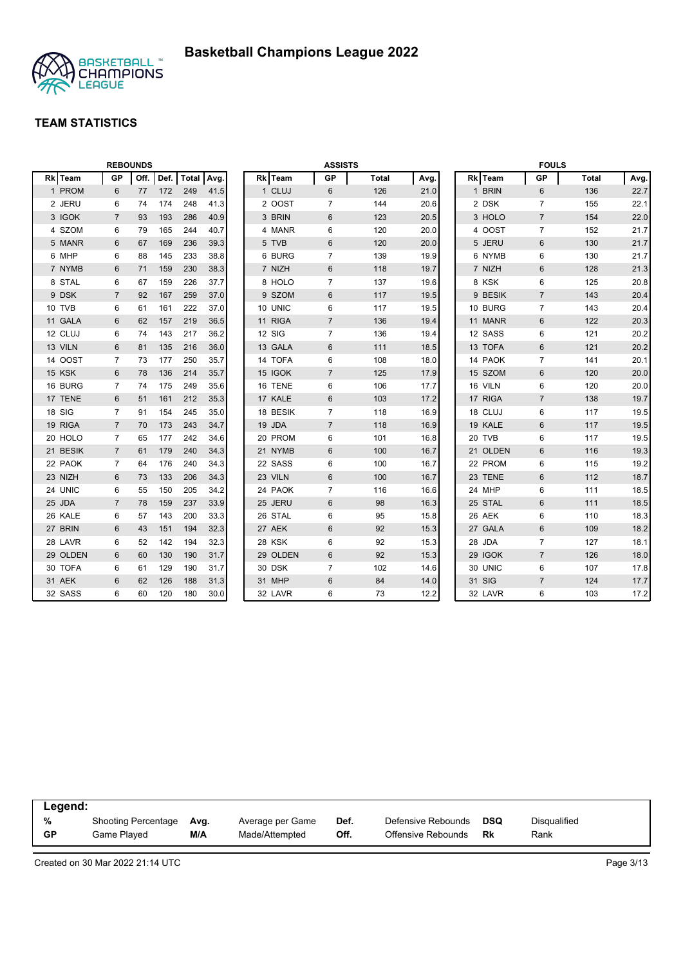

|                |                | <b>REBOUNDS</b> |      |       |      |          | <b>ASSISTS</b> |              |      |          | <b>FOULS</b>   |              |      |
|----------------|----------------|-----------------|------|-------|------|----------|----------------|--------------|------|----------|----------------|--------------|------|
| <b>Rk</b> Team | <b>GP</b>      | Off.            | Def. | Total | Avg. | Rk Team  | <b>GP</b>      | <b>Total</b> | Avg. | Rk Team  | <b>GP</b>      | <b>Total</b> | Avg. |
| 1 PROM         | 6              | 77              | 172  | 249   | 41.5 | 1 CLUJ   | 6              | 126          | 21.0 | 1 BRIN   | 6              | 136          | 22.7 |
| 2 JERU         | 6              | 74              | 174  | 248   | 41.3 | 2 OOST   | $\overline{7}$ | 144          | 20.6 | 2 DSK    | $\overline{7}$ | 155          | 22.1 |
| 3 IGOK         | $\overline{7}$ | 93              | 193  | 286   | 40.9 | 3 BRIN   | 6              | 123          | 20.5 | 3 HOLO   | $\overline{7}$ | 154          | 22.0 |
| 4 SZOM         | 6              | 79              | 165  | 244   | 40.7 | 4 MANR   | 6              | 120          | 20.0 | 4 OOST   | $\overline{7}$ | 152          | 21.7 |
| 5 MANR         | 6              | 67              | 169  | 236   | 39.3 | 5 TVB    | 6              | 120          | 20.0 | 5 JERU   | $6\phantom{1}$ | 130          | 21.7 |
| 6 MHP          | 6              | 88              | 145  | 233   | 38.8 | 6 BURG   | $\overline{7}$ | 139          | 19.9 | 6 NYMB   | 6              | 130          | 21.7 |
| 7 NYMB         | 6              | 71              | 159  | 230   | 38.3 | 7 NIZH   | 6              | 118          | 19.7 | 7 NIZH   | $6\phantom{1}$ | 128          | 21.3 |
| 8 STAL         | 6              | 67              | 159  | 226   | 37.7 | 8 HOLO   | $\overline{7}$ | 137          | 19.6 | 8 KSK    | 6              | 125          | 20.8 |
| 9 DSK          | $\overline{7}$ | 92              | 167  | 259   | 37.0 | 9 SZOM   | 6              | 117          | 19.5 | 9 BESIK  | $\overline{7}$ | 143          | 20.4 |
| 10 TVB         | 6              | 61              | 161  | 222   | 37.0 | 10 UNIC  | 6              | 117          | 19.5 | 10 BURG  | $\overline{7}$ | 143          | 20.4 |
| 11 GALA        | 6              | 62              | 157  | 219   | 36.5 | 11 RIGA  | $\overline{7}$ | 136          | 19.4 | 11 MANR  | $6\phantom{1}$ | 122          | 20.3 |
| 12 CLUJ        | 6              | 74              | 143  | 217   | 36.2 | 12 SIG   | $\overline{7}$ | 136          | 19.4 | 12 SASS  | 6              | 121          | 20.2 |
| 13 VILN        | 6              | 81              | 135  | 216   | 36.0 | 13 GALA  | 6              | 111          | 18.5 | 13 TOFA  | $\,6\,$        | 121          | 20.2 |
| 14 OOST        | 7              | 73              | 177  | 250   | 35.7 | 14 TOFA  | 6              | 108          | 18.0 | 14 PAOK  | $\overline{7}$ | 141          | 20.1 |
| 15 KSK         | 6              | 78              | 136  | 214   | 35.7 | 15 IGOK  | $\overline{7}$ | 125          | 17.9 | 15 SZOM  | $6\phantom{1}$ | 120          | 20.0 |
| 16 BURG        | 7              | 74              | 175  | 249   | 35.6 | 16 TENE  | 6              | 106          | 17.7 | 16 VILN  | 6              | 120          | 20.0 |
| 17 TENE        | 6              | 51              | 161  | 212   | 35.3 | 17 KALE  | 6              | 103          | 17.2 | 17 RIGA  | $\overline{7}$ | 138          | 19.7 |
| 18 SIG         | $\overline{7}$ | 91              | 154  | 245   | 35.0 | 18 BESIK | $\overline{7}$ | 118          | 16.9 | 18 CLUJ  | 6              | 117          | 19.5 |
| 19 RIGA        | $\overline{7}$ | 70              | 173  | 243   | 34.7 | 19 JDA   | $\overline{7}$ | 118          | 16.9 | 19 KALE  | $6\phantom{1}$ | 117          | 19.5 |
| 20 HOLO        | 7              | 65              | 177  | 242   | 34.6 | 20 PROM  | 6              | 101          | 16.8 | 20 TVB   | 6              | 117          | 19.5 |
| 21 BESIK       | $\overline{7}$ | 61              | 179  | 240   | 34.3 | 21 NYMB  | $\,6$          | 100          | 16.7 | 21 OLDEN | $\,6\,$        | 116          | 19.3 |
| 22 PAOK        | 7              | 64              | 176  | 240   | 34.3 | 22 SASS  | 6              | 100          | 16.7 | 22 PROM  | 6              | 115          | 19.2 |
| 23 NIZH        | 6              | 73              | 133  | 206   | 34.3 | 23 VILN  | 6              | 100          | 16.7 | 23 TENE  | $6\phantom{1}$ | 112          | 18.7 |
| 24 UNIC        | 6              | 55              | 150  | 205   | 34.2 | 24 PAOK  | $\overline{7}$ | 116          | 16.6 | 24 MHP   | 6              | 111          | 18.5 |
| 25 JDA         | $\overline{7}$ | 78              | 159  | 237   | 33.9 | 25 JERU  | 6              | 98           | 16.3 | 25 STAL  | $6\phantom{1}$ | 111          | 18.5 |
| 26 KALE        | 6              | 57              | 143  | 200   | 33.3 | 26 STAL  | 6              | 95           | 15.8 | 26 AEK   | 6              | 110          | 18.3 |
| 27 BRIN        | 6              | 43              | 151  | 194   | 32.3 | 27 AEK   | 6              | 92           | 15.3 | 27 GALA  | $6\phantom{1}$ | 109          | 18.2 |
| 28 LAVR        | 6              | 52              | 142  | 194   | 32.3 | 28 KSK   | 6              | 92           | 15.3 | 28 JDA   | $\overline{7}$ | 127          | 18.1 |
| 29 OLDEN       | 6              | 60              | 130  | 190   | 31.7 | 29 OLDEN | 6              | 92           | 15.3 | 29 IGOK  | $\overline{7}$ | 126          | 18.0 |
| 30 TOFA        | 6              | 61              | 129  | 190   | 31.7 | 30 DSK   | $\overline{7}$ | 102          | 14.6 | 30 UNIC  | 6              | 107          | 17.8 |
| 31 AEK         | 6              | 62              | 126  | 188   | 31.3 | 31 MHP   | $6\phantom{1}$ | 84           | 14.0 | 31 SIG   | $\overline{7}$ | 124          | 17.7 |
| 32 SASS        | 6              | 60              | 120  | 180   | 30.0 | 32 LAVR  | 6              | 73           | 12.2 | 32 LAVR  | $\,6$          | 103          | 17.2 |

| Legend:   |                            |      |                  |      |                    |     |              |
|-----------|----------------------------|------|------------------|------|--------------------|-----|--------------|
| %         | <b>Shooting Percentage</b> | Ava. | Average per Game | Def. | Defensive Rebounds | DSQ | Disqualified |
| <b>GP</b> | Game Plaved                | M/A  | Made/Attempted   | Off. | Offensive Rebounds | Rk  | Rank         |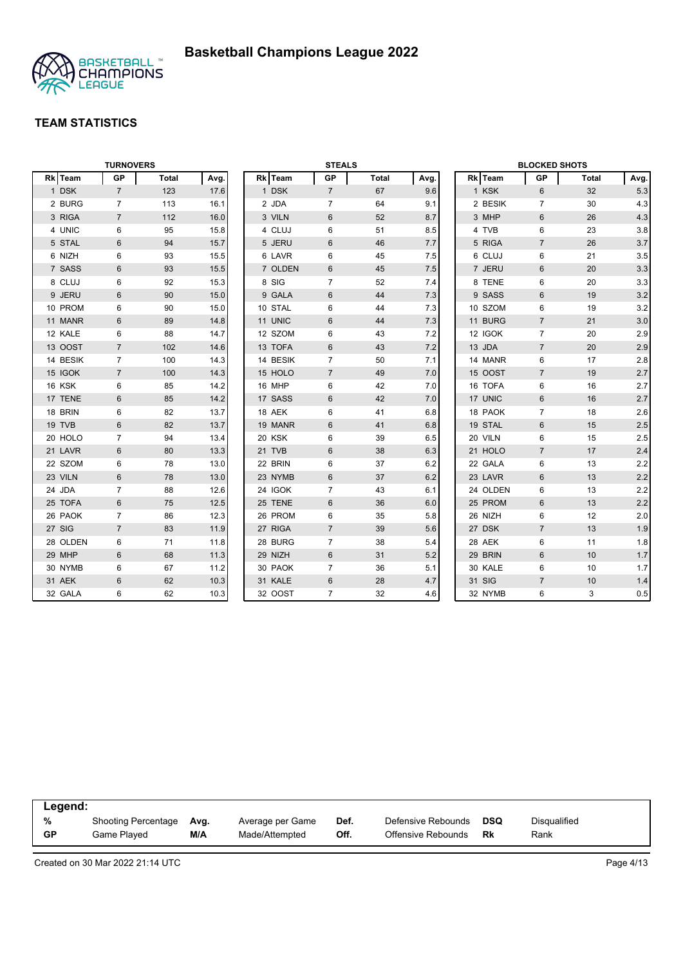

|          | <b>TURNOVERS</b> |              |      |         |          | <b>STEALS</b>  |              |      |          | <b>BLOCKED SHOTS</b> |       |      |
|----------|------------------|--------------|------|---------|----------|----------------|--------------|------|----------|----------------------|-------|------|
| Rk Team  | <b>GP</b>        | <b>Total</b> | Avg. | Rk Team |          | GP             | <b>Total</b> | Avg. | Rk Team  | GP                   | Total | Avg. |
| 1 DSK    | $\overline{7}$   | 123          | 17.6 |         | 1 DSK    | $\overline{7}$ | 67           | 9.6  | 1 KSK    | 6                    | 32    | 5.3  |
| 2 BURG   | $\overline{7}$   | 113          | 16.1 | 2 JDA   |          | $\overline{7}$ | 64           | 9.1  | 2 BESIK  | $\overline{7}$       | 30    | 4.3  |
| 3 RIGA   | $\overline{7}$   | 112          | 16.0 |         | 3 VILN   | 6              | 52           | 8.7  | 3 MHP    | 6                    | 26    | 4.3  |
| 4 UNIC   | 6                | 95           | 15.8 |         | 4 CLUJ   | 6              | 51           | 8.5  | 4 TVB    | 6                    | 23    | 3.8  |
| 5 STAL   | $6\phantom{1}$   | 94           | 15.7 |         | 5 JERU   | 6              | 46           | 7.7  | 5 RIGA   | $\overline{7}$       | 26    | 3.7  |
| 6 NIZH   | 6                | 93           | 15.5 |         | 6 LAVR   | 6              | 45           | 7.5  | 6 CLUJ   | 6                    | 21    | 3.5  |
| 7 SASS   | $6\phantom{1}$   | 93           | 15.5 |         | 7 OLDEN  | 6              | 45           | 7.5  | 7 JERU   | $6\phantom{1}$       | 20    | 3.3  |
| 8 CLUJ   | 6                | 92           | 15.3 | 8 SIG   |          | $\overline{7}$ | 52           | 7.4  | 8 TENE   | 6                    | 20    | 3.3  |
| 9 JERU   | $6\phantom{1}$   | 90           | 15.0 |         | 9 GALA   | 6              | 44           | 7.3  | 9 SASS   | $6\phantom{1}$       | 19    | 3.2  |
| 10 PROM  | 6                | 90           | 15.0 | 10 STAL |          | 6              | 44           | 7.3  | 10 SZOM  | 6                    | 19    | 3.2  |
| 11 MANR  | 6                | 89           | 14.8 | 11 UNIC |          | 6              | 44           | 7.3  | 11 BURG  | $\overline{7}$       | 21    | 3.0  |
| 12 KALE  | 6                | 88           | 14.7 |         | 12 SZOM  | 6              | 43           | 7.2  | 12 IGOK  | $\overline{7}$       | 20    | 2.9  |
| 13 OOST  | $\overline{7}$   | 102          | 14.6 |         | 13 TOFA  | 6              | 43           | 7.2  | 13 JDA   | $\overline{7}$       | 20    | 2.9  |
| 14 BESIK | $\overline{7}$   | 100          | 14.3 |         | 14 BESIK | $\overline{7}$ | 50           | 7.1  | 14 MANR  | 6                    | 17    | 2.8  |
| 15 IGOK  | $\overline{7}$   | 100          | 14.3 |         | 15 HOLO  | $\overline{7}$ | 49           | 7.0  | 15 OOST  | $\overline{7}$       | 19    | 2.7  |
| 16 KSK   | 6                | 85           | 14.2 | 16 MHP  |          | 6              | 42           | 7.0  | 16 TOFA  | 6                    | 16    | 2.7  |
| 17 TENE  | $6\phantom{1}$   | 85           | 14.2 | 17 SASS |          | 6              | 42           | 7.0  | 17 UNIC  | $6\phantom{1}$       | 16    | 2.7  |
| 18 BRIN  | 6                | 82           | 13.7 | 18 AEK  |          | 6              | 41           | 6.8  | 18 PAOK  | $\overline{7}$       | 18    | 2.6  |
| 19 TVB   | $6\phantom{1}$   | 82           | 13.7 |         | 19 MANR  | 6              | 41           | 6.8  | 19 STAL  | $6\,$                | 15    | 2.5  |
| 20 HOLO  | $\overline{7}$   | 94           | 13.4 | 20 KSK  |          | 6              | 39           | 6.5  | 20 VILN  | 6                    | 15    | 2.5  |
| 21 LAVR  | $6\phantom{1}$   | 80           | 13.3 | 21 TVB  |          | 6              | 38           | 6.3  | 21 HOLO  | $\overline{7}$       | 17    | 2.4  |
| 22 SZOM  | 6                | 78           | 13.0 | 22 BRIN |          | 6              | 37           | 6.2  | 22 GALA  | 6                    | 13    | 2.2  |
| 23 VILN  | $6\phantom{1}$   | 78           | 13.0 |         | 23 NYMB  | 6              | 37           | 6.2  | 23 LAVR  | $6\phantom{1}$       | 13    | 2.2  |
| 24 JDA   | $\overline{7}$   | 88           | 12.6 | 24 IGOK |          | $\overline{7}$ | 43           | 6.1  | 24 OLDEN | 6                    | 13    | 2.2  |
| 25 TOFA  | $6\phantom{1}$   | 75           | 12.5 | 25 TENE |          | 6              | 36           | 6.0  | 25 PROM  | $6\phantom{1}$       | 13    | 2.2  |
| 26 PAOK  | $\overline{7}$   | 86           | 12.3 |         | 26 PROM  | 6              | 35           | 5.8  | 26 NIZH  | 6                    | 12    | 2.0  |
| 27 SIG   | $\overline{7}$   | 83           | 11.9 | 27 RIGA |          | $\overline{7}$ | 39           | 5.6  | 27 DSK   | $\overline{7}$       | 13    | 1.9  |
| 28 OLDEN | 6                | 71           | 11.8 |         | 28 BURG  | $\overline{7}$ | 38           | 5.4  | 28 AEK   | 6                    | 11    | 1.8  |
| 29 MHP   | 6                | 68           | 11.3 | 29 NIZH |          | 6              | 31           | 5.2  | 29 BRIN  | 6                    | 10    | 1.7  |
| 30 NYMB  | 6                | 67           | 11.2 |         | 30 PAOK  | $\overline{7}$ | 36           | 5.1  | 30 KALE  | 6                    | 10    | 1.7  |
| 31 AEK   | $6\phantom{1}$   | 62           | 10.3 | 31 KALE |          | $6\,$          | 28           | 4.7  | 31 SIG   | $\overline{7}$       | 10    | 1.4  |
| 32 GALA  | 6                | 62           | 10.3 |         | 32 OOST  | $\overline{7}$ | 32           | 4.6  | 32 NYMB  | 6                    | 3     | 0.5  |

| Legend:   |                            |      |                  |      |                    |            |              |  |
|-----------|----------------------------|------|------------------|------|--------------------|------------|--------------|--|
| %         | <b>Shooting Percentage</b> | Avg. | Average per Game | Def. | Defensive Rebounds | <b>DSQ</b> | Disqualified |  |
| <b>GP</b> | Game Played                | M/A  | Made/Attempted   | Off. | Offensive Rebounds | Rk         | Rank         |  |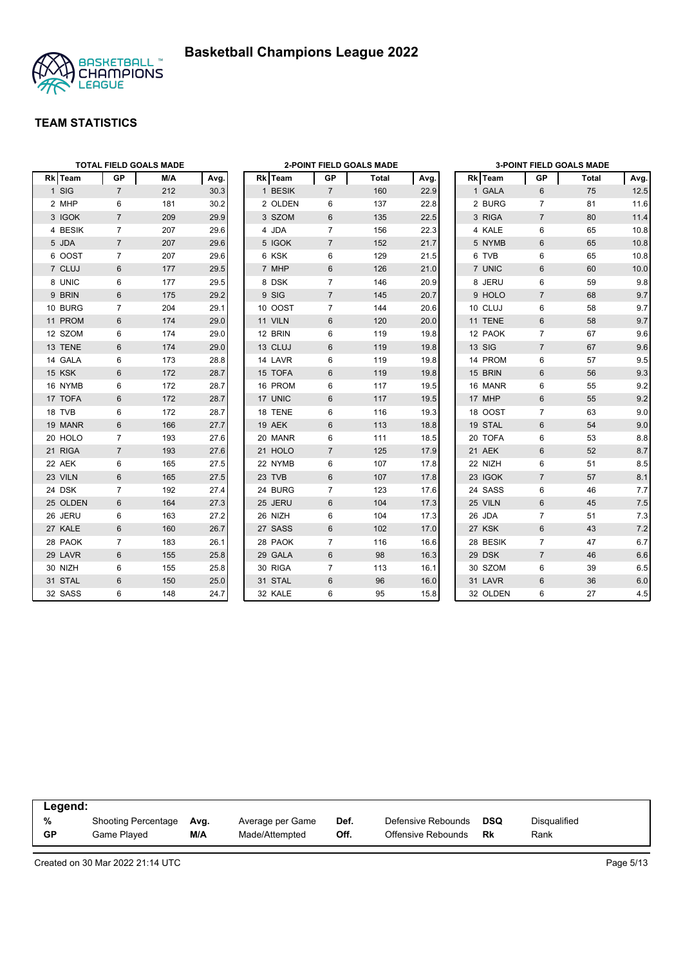

|          |                | <b>TOTAL FIELD GOALS MADE</b> |      |         |                | 2-POINT FIELD GOALS MADE |      |          |                | <b>3-POINT FIELD GOALS MADE</b> |      |
|----------|----------------|-------------------------------|------|---------|----------------|--------------------------|------|----------|----------------|---------------------------------|------|
| Rk Team  | GP             | M/A                           | Avg. | Rk Team | GP             | Total                    | Avg. | Rk Team  | GP             | Total                           | Avg. |
| 1 SIG    | $\overline{7}$ | 212                           | 30.3 | 1 BESIK | $\overline{7}$ | 160                      | 22.9 | 1 GALA   | 6              | 75                              | 12.5 |
| 2 MHP    | 6              | 181                           | 30.2 | 2 OLDEN | 6              | 137                      | 22.8 | 2 BURG   | $\overline{7}$ | 81                              | 11.6 |
| 3 IGOK   | $\overline{7}$ | 209                           | 29.9 | 3 SZOM  | 6              | 135                      | 22.5 | 3 RIGA   | $\overline{7}$ | 80                              | 11.4 |
| 4 BESIK  | $\overline{7}$ | 207                           | 29.6 | 4 JDA   | $\overline{7}$ | 156                      | 22.3 | 4 KALE   | 6              | 65                              | 10.8 |
| 5 JDA    | $\overline{7}$ | 207                           | 29.6 | 5 IGOK  | $\overline{7}$ | 152                      | 21.7 | 5 NYMB   | 6              | 65                              | 10.8 |
| 6 OOST   | $\overline{7}$ | 207                           | 29.6 | 6 KSK   | 6              | 129                      | 21.5 | 6 TVB    | 6              | 65                              | 10.8 |
| 7 CLUJ   | 6              | 177                           | 29.5 | 7 MHP   | 6              | 126                      | 21.0 | 7 UNIC   | 6              | 60                              | 10.0 |
| 8 UNIC   | 6              | 177                           | 29.5 | 8 DSK   | $\overline{7}$ | 146                      | 20.9 | 8 JERU   | 6              | 59                              | 9.8  |
| 9 BRIN   | 6              | 175                           | 29.2 | 9 SIG   | $\overline{7}$ | 145                      | 20.7 | 9 HOLO   | $\overline{7}$ | 68                              | 9.7  |
| 10 BURG  | $\overline{7}$ | 204                           | 29.1 | 10 OOST | $\overline{7}$ | 144                      | 20.6 | 10 CLUJ  | 6              | 58                              | 9.7  |
| 11 PROM  | 6              | 174                           | 29.0 | 11 VILN | 6              | 120                      | 20.0 | 11 TENE  | 6              | 58                              | 9.7  |
| 12 SZOM  | 6              | 174                           | 29.0 | 12 BRIN | 6              | 119                      | 19.8 | 12 PAOK  | $\overline{7}$ | 67                              | 9.6  |
| 13 TENE  | 6              | 174                           | 29.0 | 13 CLUJ | 6              | 119                      | 19.8 | 13 SIG   | $\overline{7}$ | 67                              | 9.6  |
| 14 GALA  | 6              | 173                           | 28.8 | 14 LAVR | 6              | 119                      | 19.8 | 14 PROM  | 6              | 57                              | 9.5  |
| 15 KSK   | 6              | 172                           | 28.7 | 15 TOFA | 6              | 119                      | 19.8 | 15 BRIN  | 6              | 56                              | 9.3  |
| 16 NYMB  | 6              | 172                           | 28.7 | 16 PROM | 6              | 117                      | 19.5 | 16 MANR  | 6              | 55                              | 9.2  |
| 17 TOFA  | 6              | 172                           | 28.7 | 17 UNIC | 6              | 117                      | 19.5 | 17 MHP   | 6              | 55                              | 9.2  |
| 18 TVB   | 6              | 172                           | 28.7 | 18 TENE | 6              | 116                      | 19.3 | 18 OOST  | $\overline{7}$ | 63                              | 9.0  |
| 19 MANR  | $6\phantom{1}$ | 166                           | 27.7 | 19 AEK  | 6              | 113                      | 18.8 | 19 STAL  | 6              | 54                              | 9.0  |
| 20 HOLO  | $\overline{7}$ | 193                           | 27.6 | 20 MANR | 6              | 111                      | 18.5 | 20 TOFA  | 6              | 53                              | 8.8  |
| 21 RIGA  | $\overline{7}$ | 193                           | 27.6 | 21 HOLO | $\overline{7}$ | 125                      | 17.9 | 21 AEK   | 6              | 52                              | 8.7  |
| 22 AEK   | 6              | 165                           | 27.5 | 22 NYMB | 6              | 107                      | 17.8 | 22 NIZH  | 6              | 51                              | 8.5  |
| 23 VILN  | $6\phantom{1}$ | 165                           | 27.5 | 23 TVB  | 6              | 107                      | 17.8 | 23 IGOK  | $\overline{7}$ | 57                              | 8.1  |
| 24 DSK   | $\overline{7}$ | 192                           | 27.4 | 24 BURG | $\overline{7}$ | 123                      | 17.6 | 24 SASS  | 6              | 46                              | 7.7  |
| 25 OLDEN | 6              | 164                           | 27.3 | 25 JERU | 6              | 104                      | 17.3 | 25 VILN  | 6              | 45                              | 7.5  |
| 26 JERU  | 6              | 163                           | 27.2 | 26 NIZH | 6              | 104                      | 17.3 | 26 JDA   | $\overline{7}$ | 51                              | 7.3  |
| 27 KALE  | 6              | 160                           | 26.7 | 27 SASS | 6              | 102                      | 17.0 | 27 KSK   | 6              | 43                              | 7.2  |
| 28 PAOK  | $\overline{7}$ | 183                           | 26.1 | 28 PAOK | $\overline{7}$ | 116                      | 16.6 | 28 BESIK | $\overline{7}$ | 47                              | 6.7  |
| 29 LAVR  | 6              | 155                           | 25.8 | 29 GALA | 6              | 98                       | 16.3 | 29 DSK   | $\overline{7}$ | 46                              | 6.6  |
| 30 NIZH  | 6              | 155                           | 25.8 | 30 RIGA | $\overline{7}$ | 113                      | 16.1 | 30 SZOM  | 6              | 39                              | 6.5  |
| 31 STAL  | 6              | 150                           | 25.0 | 31 STAL | 6              | 96                       | 16.0 | 31 LAVR  | 6              | 36                              | 6.0  |
| 32 SASS  | 6              | 148                           | 24.7 | 32 KALE | 6              | 95                       | 15.8 | 32 OLDEN | 6              | 27                              | 4.5  |

| Legend:   |                            |      |                  |      |                    |            |              |  |
|-----------|----------------------------|------|------------------|------|--------------------|------------|--------------|--|
| %         | <b>Shooting Percentage</b> | Avg. | Average per Game | Def. | Defensive Rebounds | <b>DSQ</b> | Disqualified |  |
| <b>GP</b> | Game Played                | M/A  | Made/Attempted   | Off. | Offensive Rebounds | Rk         | Rank         |  |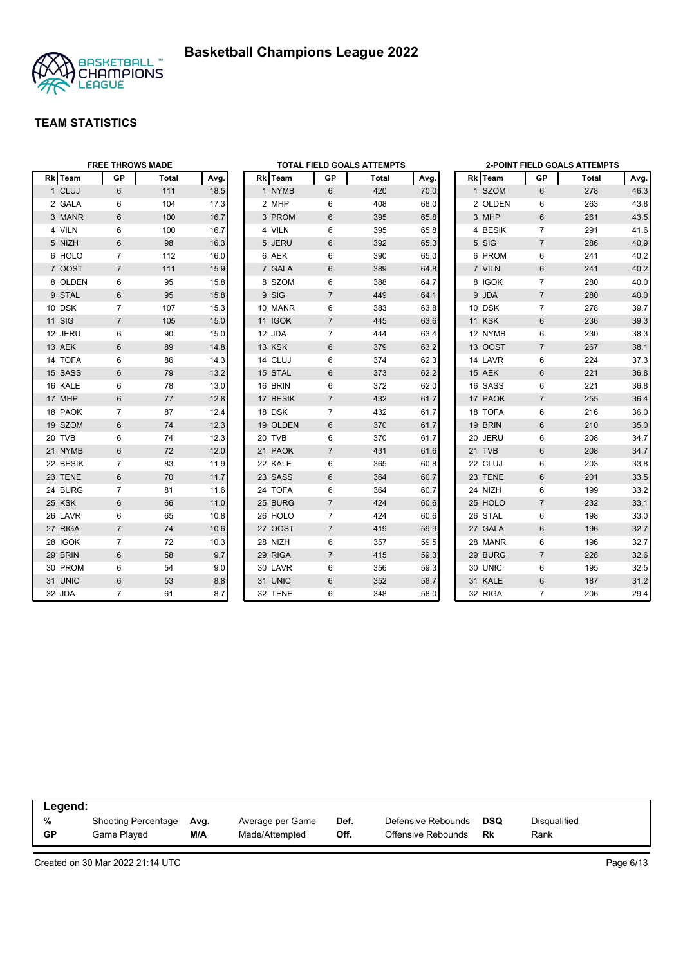



|          | <b>FREE THROWS MADE</b> |              |      |          |                | <b>TOTAL FIELD GOALS ATTEMPTS</b> |      |               |                | <b>2-POINT FIELD GOALS ATTEMPTS</b> |      |
|----------|-------------------------|--------------|------|----------|----------------|-----------------------------------|------|---------------|----------------|-------------------------------------|------|
| Rk Team  | <b>GP</b>               | <b>Total</b> | Avg. | Rk Team  | GP             | Total                             | Avg. | Rk Team       | GР             | Total                               | Avg. |
| 1 CLUJ   | $6\phantom{1}$          | 111          | 18.5 | 1 NYMB   | 6              | 420                               | 70.0 | 1 SZOM        | 6              | 278                                 | 46.3 |
| 2 GALA   | 6                       | 104          | 17.3 | 2 MHP    | 6              | 408                               | 68.0 | 2 OLDEN       | 6              | 263                                 | 43.8 |
| 3 MANR   | 6                       | 100          | 16.7 | 3 PROM   | 6              | 395                               | 65.8 | 3 MHP         | $6\phantom{1}$ | 261                                 | 43.5 |
| 4 VILN   | 6                       | 100          | 16.7 | 4 VILN   | 6              | 395                               | 65.8 | 4 BESIK       | $\overline{7}$ | 291                                 | 41.6 |
| 5 NIZH   | 6                       | 98           | 16.3 | 5 JERU   | 6              | 392                               | 65.3 | 5 SIG         | $\overline{7}$ | 286                                 | 40.9 |
| 6 HOLO   | $\overline{7}$          | 112          | 16.0 | 6 AEK    | 6              | 390                               | 65.0 | 6 PROM        | 6              | 241                                 | 40.2 |
| 7 OOST   | $\overline{7}$          | 111          | 15.9 | 7 GALA   | 6              | 389                               | 64.8 | 7 VILN        | 6              | 241                                 | 40.2 |
| 8 OLDEN  | 6                       | 95           | 15.8 | 8 SZOM   | 6              | 388                               | 64.7 | 8 IGOK        | $\overline{7}$ | 280                                 | 40.0 |
| 9 STAL   | $6\phantom{1}6$         | 95           | 15.8 | 9 SIG    | $\overline{7}$ | 449                               | 64.1 | 9 JDA         | $\overline{7}$ | 280                                 | 40.0 |
| 10 DSK   | $\overline{7}$          | 107          | 15.3 | 10 MANR  | 6              | 383                               | 63.8 | 10 DSK        | $\overline{7}$ | 278                                 | 39.7 |
| 11 SIG   | $\overline{7}$          | 105          | 15.0 | 11 IGOK  | $\overline{7}$ | 445                               | 63.6 | <b>11 KSK</b> | 6              | 236                                 | 39.3 |
| 12 JERU  | 6                       | 90           | 15.0 | 12 JDA   | $\overline{7}$ | 444                               | 63.4 | 12 NYMB       | $\,6$          | 230                                 | 38.3 |
| 13 AEK   | 6                       | 89           | 14.8 | 13 KSK   | 6              | 379                               | 63.2 | 13 OOST       | $\overline{7}$ | 267                                 | 38.1 |
| 14 TOFA  | 6                       | 86           | 14.3 | 14 CLUJ  | 6              | 374                               | 62.3 | 14 LAVR       | 6              | 224                                 | 37.3 |
| 15 SASS  | 6                       | 79           | 13.2 | 15 STAL  | 6              | 373                               | 62.2 | 15 AEK        | 6              | 221                                 | 36.8 |
| 16 KALE  | 6                       | 78           | 13.0 | 16 BRIN  | 6              | 372                               | 62.0 | 16 SASS       | 6              | 221                                 | 36.8 |
| 17 MHP   | 6                       | 77           | 12.8 | 17 BESIK | $\overline{7}$ | 432                               | 61.7 | 17 PAOK       | $\overline{7}$ | 255                                 | 36.4 |
| 18 PAOK  | $\overline{7}$          | 87           | 12.4 | 18 DSK   | $\overline{7}$ | 432                               | 61.7 | 18 TOFA       | 6              | 216                                 | 36.0 |
| 19 SZOM  | 6                       | 74           | 12.3 | 19 OLDEN | 6              | 370                               | 61.7 | 19 BRIN       | $6\phantom{1}$ | 210                                 | 35.0 |
| 20 TVB   | 6                       | 74           | 12.3 | 20 TVB   | 6              | 370                               | 61.7 | 20 JERU       | 6              | 208                                 | 34.7 |
| 21 NYMB  | 6                       | 72           | 12.0 | 21 PAOK  | $\overline{7}$ | 431                               | 61.6 | 21 TVB        | 6              | 208                                 | 34.7 |
| 22 BESIK | 7                       | 83           | 11.9 | 22 KALE  | 6              | 365                               | 60.8 | 22 CLUJ       | 6              | 203                                 | 33.8 |
| 23 TENE  | 6                       | 70           | 11.7 | 23 SASS  | 6              | 364                               | 60.7 | 23 TENE       | $\,6\,$        | 201                                 | 33.5 |
| 24 BURG  | $\overline{7}$          | 81           | 11.6 | 24 TOFA  | 6              | 364                               | 60.7 | 24 NIZH       | 6              | 199                                 | 33.2 |
| 25 KSK   | 6                       | 66           | 11.0 | 25 BURG  | $\overline{7}$ | 424                               | 60.6 | 25 HOLO       | $\overline{7}$ | 232                                 | 33.1 |
| 26 LAVR  | 6                       | 65           | 10.8 | 26 HOLO  | $\overline{7}$ | 424                               | 60.6 | 26 STAL       | 6              | 198                                 | 33.0 |
| 27 RIGA  | $\overline{7}$          | 74           | 10.6 | 27 OOST  | $\overline{7}$ | 419                               | 59.9 | 27 GALA       | 6              | 196                                 | 32.7 |
| 28 IGOK  | $\overline{7}$          | 72           | 10.3 | 28 NIZH  | 6              | 357                               | 59.5 | 28 MANR       | 6              | 196                                 | 32.7 |
| 29 BRIN  | 6                       | 58           | 9.7  | 29 RIGA  | $\overline{7}$ | 415                               | 59.3 | 29 BURG       | $\overline{7}$ | 228                                 | 32.6 |
| 30 PROM  | 6                       | 54           | 9.0  | 30 LAVR  | 6              | 356                               | 59.3 | 30 UNIC       | 6              | 195                                 | 32.5 |
| 31 UNIC  | 6                       | 53           | 8.8  | 31 UNIC  | 6              | 352                               | 58.7 | 31 KALE       | $\,6\,$        | 187                                 | 31.2 |
| 32 JDA   | $\overline{7}$          | 61           | 8.7  | 32 TENE  | 6              | 348                               | 58.0 | 32 RIGA       | $\overline{7}$ | 206                                 | 29.4 |

| Legend:   |                     |      |                  |      |                    |            |              |  |
|-----------|---------------------|------|------------------|------|--------------------|------------|--------------|--|
| %         | Shooting Percentage | Avg. | Average per Game | Def. | Defensive Rebounds | <b>DSQ</b> | Disqualified |  |
| <b>GP</b> | Game Played         | M/A  | Made/Attempted   | Off. | Offensive Rebounds | Rk         | Rank         |  |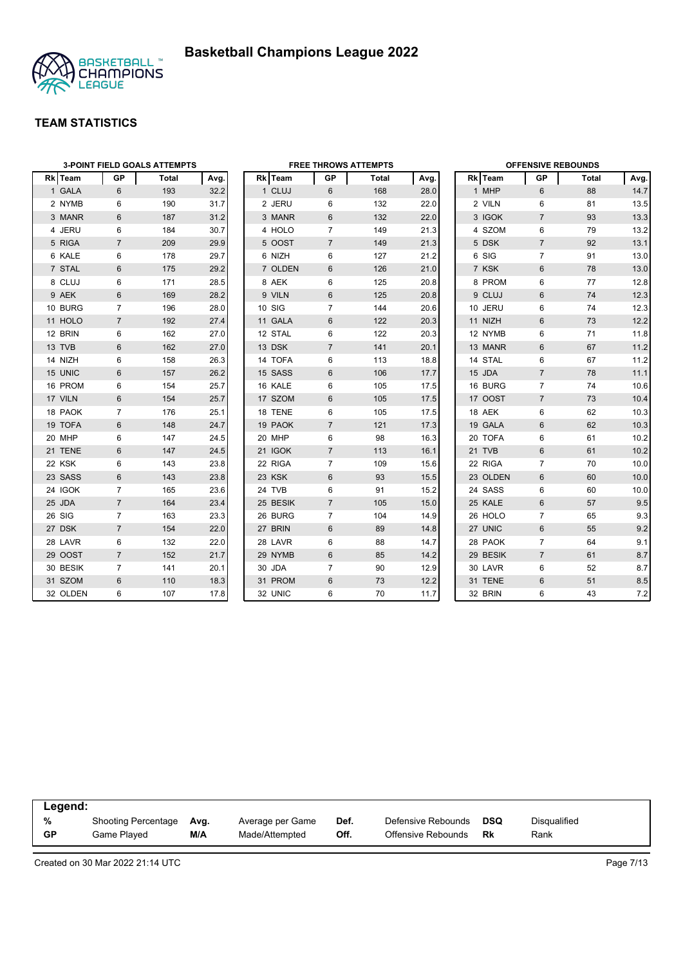

|                | <b>3-POINT FIELD GOALS ATTEMPTS</b> |       |      |  | <b>OFFENSIVE REBOUNDS</b><br><b>FREE THROWS ATTEMPTS</b> |                |       |      |  |          |                 |       |      |
|----------------|-------------------------------------|-------|------|--|----------------------------------------------------------|----------------|-------|------|--|----------|-----------------|-------|------|
| <b>Rk</b> Team | GP                                  | Total | Avg. |  | Rk Team                                                  | GP             | Total | Avg. |  | Rk Team  | GP              | Total | Avg. |
| 1 GALA         | 6                                   | 193   | 32.2 |  | 1 CLUJ                                                   | 6              | 168   | 28.0 |  | 1 MHP    | 6               | 88    | 14.7 |
| 2 NYMB         | 6                                   | 190   | 31.7 |  | 2 JERU                                                   | 6              | 132   | 22.0 |  | 2 VILN   | 6               | 81    | 13.5 |
| 3 MANR         | $6\phantom{1}$                      | 187   | 31.2 |  | 3 MANR                                                   | 6              | 132   | 22.0 |  | 3 IGOK   | $\overline{7}$  | 93    | 13.3 |
| 4 JERU         | 6                                   | 184   | 30.7 |  | 4 HOLO                                                   | $\overline{7}$ | 149   | 21.3 |  | 4 SZOM   | 6               | 79    | 13.2 |
| 5 RIGA         | $\overline{7}$                      | 209   | 29.9 |  | 5 OOST                                                   | $\overline{7}$ | 149   | 21.3 |  | 5 DSK    | $\overline{7}$  | 92    | 13.1 |
| 6 KALE         | 6                                   | 178   | 29.7 |  | 6 NIZH                                                   | 6              | 127   | 21.2 |  | 6 SIG    | $\overline{7}$  | 91    | 13.0 |
| 7 STAL         | 6                                   | 175   | 29.2 |  | 7 OLDEN                                                  | 6              | 126   | 21.0 |  | 7 KSK    | 6               | 78    | 13.0 |
| 8 CLUJ         | 6                                   | 171   | 28.5 |  | 8 AEK                                                    | 6              | 125   | 20.8 |  | 8 PROM   | 6               | 77    | 12.8 |
| 9 AEK          | 6                                   | 169   | 28.2 |  | 9 VILN                                                   | 6              | 125   | 20.8 |  | 9 CLUJ   | 6               | 74    | 12.3 |
| 10 BURG        | 7                                   | 196   | 28.0 |  | 10 SIG                                                   | $\overline{7}$ | 144   | 20.6 |  | 10 JERU  | 6               | 74    | 12.3 |
| 11 HOLO        | $\overline{7}$                      | 192   | 27.4 |  | 11 GALA                                                  | 6              | 122   | 20.3 |  | 11 NIZH  | 6               | 73    | 12.2 |
| 12 BRIN        | 6                                   | 162   | 27.0 |  | 12 STAL                                                  | 6              | 122   | 20.3 |  | 12 NYMB  | 6               | 71    | 11.8 |
| 13 TVB         | $6\phantom{1}$                      | 162   | 27.0 |  | 13 DSK                                                   | $\overline{7}$ | 141   | 20.1 |  | 13 MANR  | $6\phantom{1}6$ | 67    | 11.2 |
| 14 NIZH        | 6                                   | 158   | 26.3 |  | 14 TOFA                                                  | 6              | 113   | 18.8 |  | 14 STAL  | 6               | 67    | 11.2 |
| 15 UNIC        | $6\phantom{1}$                      | 157   | 26.2 |  | 15 SASS                                                  | 6              | 106   | 17.7 |  | 15 JDA   | $\overline{7}$  | 78    | 11.1 |
| 16 PROM        | 6                                   | 154   | 25.7 |  | 16 KALE                                                  | 6              | 105   | 17.5 |  | 16 BURG  | $\overline{7}$  | 74    | 10.6 |
| 17 VILN        | 6                                   | 154   | 25.7 |  | 17 SZOM                                                  | 6              | 105   | 17.5 |  | 17 OOST  | $\overline{7}$  | 73    | 10.4 |
| 18 PAOK        | $\overline{7}$                      | 176   | 25.1 |  | 18 TENE                                                  | 6              | 105   | 17.5 |  | 18 AEK   | 6               | 62    | 10.3 |
| 19 TOFA        | $6\phantom{1}$                      | 148   | 24.7 |  | 19 PAOK                                                  | $\overline{7}$ | 121   | 17.3 |  | 19 GALA  | 6               | 62    | 10.3 |
| 20 MHP         | 6                                   | 147   | 24.5 |  | 20 MHP                                                   | 6              | 98    | 16.3 |  | 20 TOFA  | 6               | 61    | 10.2 |
| 21 TENE        | 6                                   | 147   | 24.5 |  | <b>21 IGOK</b>                                           | $\overline{7}$ | 113   | 16.1 |  | 21 TVB   | 6               | 61    | 10.2 |
| 22 KSK         | 6                                   | 143   | 23.8 |  | 22 RIGA                                                  | $\overline{7}$ | 109   | 15.6 |  | 22 RIGA  | $\overline{7}$  | 70    | 10.0 |
| 23 SASS        | $6\phantom{1}$                      | 143   | 23.8 |  | 23 KSK                                                   | 6              | 93    | 15.5 |  | 23 OLDEN | $6\phantom{1}$  | 60    | 10.0 |
| 24 IGOK        | 7                                   | 165   | 23.6 |  | 24 TVB                                                   | 6              | 91    | 15.2 |  | 24 SASS  | 6               | 60    | 10.0 |
| 25 JDA         | $\overline{7}$                      | 164   | 23.4 |  | 25 BESIK                                                 | $\overline{7}$ | 105   | 15.0 |  | 25 KALE  | 6               | 57    | 9.5  |
| 26 SIG         | $\overline{7}$                      | 163   | 23.3 |  | 26 BURG                                                  | $\overline{7}$ | 104   | 14.9 |  | 26 HOLO  | $\overline{7}$  | 65    | 9.3  |
| 27 DSK         | $\overline{7}$                      | 154   | 22.0 |  | 27 BRIN                                                  | 6              | 89    | 14.8 |  | 27 UNIC  | $6\phantom{1}$  | 55    | 9.2  |
| 28 LAVR        | 6                                   | 132   | 22.0 |  | 28 LAVR                                                  | 6              | 88    | 14.7 |  | 28 PAOK  | $\overline{7}$  | 64    | 9.1  |
| 29 OOST        | $\overline{7}$                      | 152   | 21.7 |  | 29 NYMB                                                  | 6              | 85    | 14.2 |  | 29 BESIK | $\overline{7}$  | 61    | 8.7  |
| 30 BESIK       | $\overline{7}$                      | 141   | 20.1 |  | 30 JDA                                                   | $\overline{7}$ | 90    | 12.9 |  | 30 LAVR  | 6               | 52    | 8.7  |
| 31 SZOM        | 6                                   | 110   | 18.3 |  | 31 PROM                                                  | 6              | 73    | 12.2 |  | 31 TENE  | 6               | 51    | 8.5  |
| 32 OLDEN       | 6                                   | 107   | 17.8 |  | 32 UNIC                                                  | 6              | 70    | 11.7 |  | 32 BRIN  | 6               | 43    | 7.2  |

| Legend:   |                            |      |                  |      |                    |            |              |  |
|-----------|----------------------------|------|------------------|------|--------------------|------------|--------------|--|
| %         | <b>Shooting Percentage</b> | Avg. | Average per Game | Def. | Defensive Rebounds | <b>DSQ</b> | Disqualified |  |
| <b>GP</b> | Game Played                | M/A  | Made/Attempted   | Off. | Offensive Rebounds | Rk         | Rank         |  |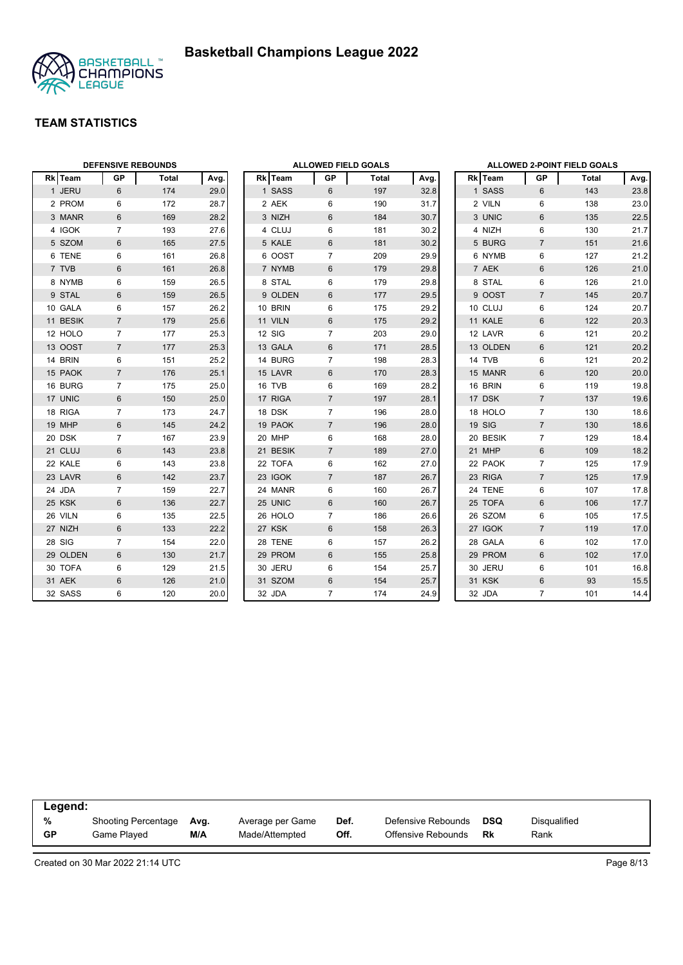



|          | <b>DEFENSIVE REBOUNDS</b> |       |      | <b>ALLOWED FIELD GOALS</b> |          |                |              |      | <b>ALLOWED 2-POINT FIELD GOALS</b> |                |                |              |      |
|----------|---------------------------|-------|------|----------------------------|----------|----------------|--------------|------|------------------------------------|----------------|----------------|--------------|------|
| Rk Team  | <b>GP</b>                 | Total | Avg. |                            | Rk Team  | GP             | <b>Total</b> | Avg. |                                    | <b>Rk</b> Team | <b>GP</b>      | <b>Total</b> | Avg. |
| 1 JERU   | 6                         | 174   | 29.0 |                            | 1 SASS   | 6              | 197          | 32.8 |                                    | 1 SASS         | 6              | 143          | 23.8 |
| 2 PROM   | 6                         | 172   | 28.7 |                            | 2 AEK    | 6              | 190          | 31.7 |                                    | 2 VILN         | 6              | 138          | 23.0 |
| 3 MANR   | $6\phantom{1}$            | 169   | 28.2 |                            | 3 NIZH   | 6              | 184          | 30.7 |                                    | 3 UNIC         | 6              | 135          | 22.5 |
| 4 IGOK   | 7                         | 193   | 27.6 |                            | 4 CLUJ   | 6              | 181          | 30.2 |                                    | 4 NIZH         | 6              | 130          | 21.7 |
| 5 SZOM   | $6\phantom{1}$            | 165   | 27.5 |                            | 5 KALE   | 6              | 181          | 30.2 |                                    | 5 BURG         | $\overline{7}$ | 151          | 21.6 |
| 6 TENE   | 6                         | 161   | 26.8 |                            | 6 OOST   | $\overline{7}$ | 209          | 29.9 |                                    | 6 NYMB         | 6              | 127          | 21.2 |
| 7 TVB    | $6\phantom{1}$            | 161   | 26.8 |                            | 7 NYMB   | $6\phantom{1}$ | 179          | 29.8 |                                    | 7 AEK          | $\,6\,$        | 126          | 21.0 |
| 8 NYMB   | 6                         | 159   | 26.5 |                            | 8 STAL   | 6              | 179          | 29.8 |                                    | 8 STAL         | $\,6\,$        | 126          | 21.0 |
| 9 STAL   | 6                         | 159   | 26.5 |                            | 9 OLDEN  | 6              | 177          | 29.5 |                                    | 9 OOST         | $\overline{7}$ | 145          | 20.7 |
| 10 GALA  | 6                         | 157   | 26.2 |                            | 10 BRIN  | 6              | 175          | 29.2 |                                    | 10 CLUJ        | 6              | 124          | 20.7 |
| 11 BESIK | $\overline{7}$            | 179   | 25.6 |                            | 11 VILN  | 6              | 175          | 29.2 |                                    | 11 KALE        | 6              | 122          | 20.3 |
| 12 HOLO  | $\overline{7}$            | 177   | 25.3 |                            | 12 SIG   | $\overline{7}$ | 203          | 29.0 |                                    | 12 LAVR        | 6              | 121          | 20.2 |
| 13 OOST  | $\overline{7}$            | 177   | 25.3 |                            | 13 GALA  | 6              | 171          | 28.5 |                                    | 13 OLDEN       | $6\phantom{1}$ | 121          | 20.2 |
| 14 BRIN  | 6                         | 151   | 25.2 |                            | 14 BURG  | $\overline{7}$ | 198          | 28.3 |                                    | 14 TVB         | 6              | 121          | 20.2 |
| 15 PAOK  | $\overline{7}$            | 176   | 25.1 |                            | 15 LAVR  | 6              | 170          | 28.3 |                                    | 15 MANR        | $6\phantom{1}$ | 120          | 20.0 |
| 16 BURG  | $\overline{7}$            | 175   | 25.0 |                            | 16 TVB   | 6              | 169          | 28.2 |                                    | 16 BRIN        | 6              | 119          | 19.8 |
| 17 UNIC  | $6\,$                     | 150   | 25.0 |                            | 17 RIGA  | $\overline{7}$ | 197          | 28.1 |                                    | 17 DSK         | $\overline{7}$ | 137          | 19.6 |
| 18 RIGA  | $\overline{7}$            | 173   | 24.7 |                            | 18 DSK   | $\overline{7}$ | 196          | 28.0 |                                    | 18 HOLO        | $\overline{7}$ | 130          | 18.6 |
| 19 MHP   | $6\phantom{1}$            | 145   | 24.2 |                            | 19 PAOK  | $\overline{7}$ | 196          | 28.0 |                                    | 19 SIG         | $\overline{7}$ | 130          | 18.6 |
| 20 DSK   | $\overline{7}$            | 167   | 23.9 |                            | 20 MHP   | 6              | 168          | 28.0 |                                    | 20 BESIK       | $\overline{7}$ | 129          | 18.4 |
| 21 CLUJ  | 6                         | 143   | 23.8 |                            | 21 BESIK | $\overline{7}$ | 189          | 27.0 |                                    | 21 MHP         | $6\phantom{1}$ | 109          | 18.2 |
| 22 KALE  | 6                         | 143   | 23.8 |                            | 22 TOFA  | 6              | 162          | 27.0 |                                    | 22 PAOK        | $\overline{7}$ | 125          | 17.9 |
| 23 LAVR  | $\,6\,$                   | 142   | 23.7 |                            | 23 IGOK  | $\overline{7}$ | 187          | 26.7 |                                    | 23 RIGA        | $\overline{7}$ | 125          | 17.9 |
| 24 JDA   | $\overline{7}$            | 159   | 22.7 |                            | 24 MANR  | 6              | 160          | 26.7 |                                    | 24 TENE        | 6              | 107          | 17.8 |
| 25 KSK   | $6\phantom{1}$            | 136   | 22.7 |                            | 25 UNIC  | 6              | 160          | 26.7 |                                    | 25 TOFA        | 6              | 106          | 17.7 |
| 26 VILN  | 6                         | 135   | 22.5 |                            | 26 HOLO  | $\overline{7}$ | 186          | 26.6 |                                    | 26 SZOM        | 6              | 105          | 17.5 |
| 27 NIZH  | $6\,$                     | 133   | 22.2 |                            | 27 KSK   | $\,6\,$        | 158          | 26.3 |                                    | 27 IGOK        | $\overline{7}$ | 119          | 17.0 |
| 28 SIG   | $\overline{7}$            | 154   | 22.0 |                            | 28 TENE  | 6              | 157          | 26.2 |                                    | 28 GALA        | 6              | 102          | 17.0 |
| 29 OLDEN | 6                         | 130   | 21.7 |                            | 29 PROM  | 6              | 155          | 25.8 |                                    | 29 PROM        | 6              | 102          | 17.0 |
| 30 TOFA  | 6                         | 129   | 21.5 |                            | 30 JERU  | 6              | 154          | 25.7 |                                    | 30 JERU        | 6              | 101          | 16.8 |
| 31 AEK   | 6                         | 126   | 21.0 |                            | 31 SZOM  | 6              | 154          | 25.7 |                                    | 31 KSK         | 6              | 93           | 15.5 |
| 32 SASS  | 6                         | 120   | 20.0 |                            | 32 JDA   | $\overline{7}$ | 174          | 24.9 |                                    | 32 JDA         | $\overline{7}$ | 101          | 14.4 |

| Legend:   |                     |      |                  |      |                    |     |              |  |
|-----------|---------------------|------|------------------|------|--------------------|-----|--------------|--|
| %         | Shooting Percentage | Avg. | Average per Game | Def. | Defensive Rebounds | DSQ | Disqualified |  |
| <b>GP</b> | Game Played         | M/A  | Made/Attempted   | Off. | Offensive Rebounds | Rk  | Rank         |  |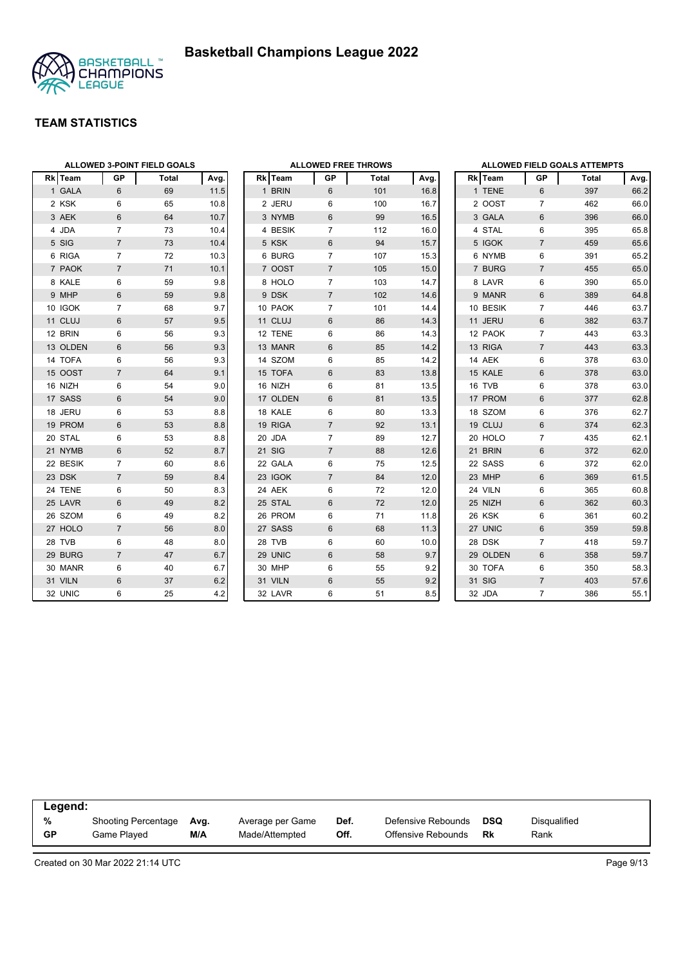

|          |                 | ALLOWED 3-POINT FIELD GOALS |      |          | <b>ALLOWED FREE THROWS</b> |       |      | <b>ALLOWED FIELD GOALS ATTEMPTS</b> |                |       |      |
|----------|-----------------|-----------------------------|------|----------|----------------------------|-------|------|-------------------------------------|----------------|-------|------|
| Rk Team  | GP              | Total                       | Avg. | Rk Team  | GP                         | Total | Avg. | Rk Team                             | GP             | Total | Avg  |
| 1 GALA   | $6\phantom{1}$  | 69                          | 11.5 | 1 BRIN   | 6                          | 101   | 16.8 | 1 TENE                              | 6              | 397   | 66.2 |
| 2 KSK    | 6               | 65                          | 10.8 | 2 JERU   | 6                          | 100   | 16.7 | 2 OOST                              | $\overline{7}$ | 462   | 66.0 |
| 3 AEK    | 6               | 64                          | 10.7 | 3 NYMB   | 6                          | 99    | 16.5 | 3 GALA                              | 6              | 396   | 66.0 |
| 4 JDA    | 7               | 73                          | 10.4 | 4 BESIK  | 7                          | 112   | 16.0 | 4 STAL                              | 6              | 395   | 65.8 |
| 5 SIG    | $\overline{7}$  | 73                          | 10.4 | 5 KSK    | 6                          | 94    | 15.7 | 5 IGOK                              | $\overline{7}$ | 459   | 65.6 |
| 6 RIGA   | $\overline{7}$  | 72                          | 10.3 | 6 BURG   | $\overline{7}$             | 107   | 15.3 | 6 NYMB                              | 6              | 391   | 65.2 |
| 7 PAOK   | $\overline{7}$  | 71                          | 10.1 | 7 OOST   | $\overline{7}$             | 105   | 15.0 | 7 BURG                              | $\overline{7}$ | 455   | 65.0 |
| 8 KALE   | 6               | 59                          | 9.8  | 8 HOLO   | 7                          | 103   | 14.7 | 8 LAVR                              | 6              | 390   | 65.0 |
| 9 MHP    | $6\phantom{1}6$ | 59                          | 9.8  | 9 DSK    | $\overline{7}$             | 102   | 14.6 | 9 MANR                              | 6              | 389   | 64.8 |
| 10 IGOK  | $\overline{7}$  | 68                          | 9.7  | 10 PAOK  | $\overline{7}$             | 101   | 14.4 | 10 BESIK                            | $\overline{7}$ | 446   | 63.7 |
| 11 CLUJ  | 6               | 57                          | 9.5  | 11 CLUJ  | 6                          | 86    | 14.3 | 11 JERU                             | 6              | 382   | 63.7 |
| 12 BRIN  | 6               | 56                          | 9.3  | 12 TENE  | 6                          | 86    | 14.3 | 12 PAOK                             | 7              | 443   | 63.3 |
| 13 OLDEN | 6               | 56                          | 9.3  | 13 MANR  | 6                          | 85    | 14.2 | 13 RIGA                             | $\overline{7}$ | 443   | 63.3 |
| 14 TOFA  | 6               | 56                          | 9.3  | 14 SZOM  | 6                          | 85    | 14.2 | 14 AEK                              | 6              | 378   | 63.0 |
| 15 OOST  | $\overline{7}$  | 64                          | 9.1  | 15 TOFA  | 6                          | 83    | 13.8 | 15 KALE                             | 6              | 378   | 63.0 |
| 16 NIZH  | 6               | 54                          | 9.0  | 16 NIZH  | 6                          | 81    | 13.5 | 16 TVB                              | 6              | 378   | 63.0 |
| 17 SASS  | 6               | 54                          | 9.0  | 17 OLDEN | 6                          | 81    | 13.5 | 17 PROM                             | 6              | 377   | 62.8 |
| 18 JERU  | 6               | 53                          | 8.8  | 18 KALE  | 6                          | 80    | 13.3 | 18 SZOM                             | 6              | 376   | 62.7 |
| 19 PROM  | 6               | 53                          | 8.8  | 19 RIGA  | $\overline{7}$             | 92    | 13.1 | 19 CLUJ                             | 6              | 374   | 62.3 |
| 20 STAL  | 6               | 53                          | 8.8  | 20 JDA   | $\overline{7}$             | 89    | 12.7 | 20 HOLO                             | 7              | 435   | 62.1 |
| 21 NYMB  | 6               | 52                          | 8.7  | 21 SIG   | $\overline{7}$             | 88    | 12.6 | 21 BRIN                             | 6              | 372   | 62.0 |
| 22 BESIK | 7               | 60                          | 8.6  | 22 GALA  | 6                          | 75    | 12.5 | 22 SASS                             | 6              | 372   | 62.0 |
| 23 DSK   | $\overline{7}$  | 59                          | 8.4  | 23 IGOK  | $\overline{7}$             | 84    | 12.0 | 23 MHP                              | 6              | 369   | 61.5 |
| 24 TENE  | 6               | 50                          | 8.3  | 24 AEK   | 6                          | 72    | 12.0 | 24 VILN                             | 6              | 365   | 60.8 |
| 25 LAVR  | 6               | 49                          | 8.2  | 25 STAL  | 6                          | 72    | 12.0 | 25 NIZH                             | 6              | 362   | 60.3 |
| 26 SZOM  | 6               | 49                          | 8.2  | 26 PROM  | 6                          | 71    | 11.8 | 26 KSK                              | 6              | 361   | 60.2 |
| 27 HOLO  | $\overline{7}$  | 56                          | 8.0  | 27 SASS  | 6                          | 68    | 11.3 | 27 UNIC                             | 6              | 359   | 59.8 |
| 28 TVB   | 6               | 48                          | 8.0  | 28 TVB   | 6                          | 60    | 10.0 | 28 DSK                              | $\overline{7}$ | 418   | 59.7 |
| 29 BURG  | $\overline{7}$  | 47                          | 6.7  | 29 UNIC  | $6\,$                      | 58    | 9.7  | 29 OLDEN                            | 6              | 358   | 59.7 |
| 30 MANR  | 6               | 40                          | 6.7  | 30 MHP   | 6                          | 55    | 9.2  | 30 TOFA                             | 6              | 350   | 58.3 |
| 31 VILN  | 6               | 37                          | 6.2  | 31 VILN  | 6                          | 55    | 9.2  | 31 SIG                              | $\overline{7}$ | 403   | 57.6 |
| 32 UNIC  | 6               | 25                          | 4.2  | 32 LAVR  | 6                          | 51    | 8.5  | 32 JDA                              | $\overline{7}$ | 386   | 55.1 |

| Legend:   |                            |      |                  |      |                    |     |              |
|-----------|----------------------------|------|------------------|------|--------------------|-----|--------------|
| %         | <b>Shooting Percentage</b> | Ava. | Average per Game | Def. | Defensive Rebounds | DSQ | Disqualified |
| <b>GP</b> | Game Played                | M/A  | Made/Attempted   | Off. | Offensive Rebounds | Rk  | Rank         |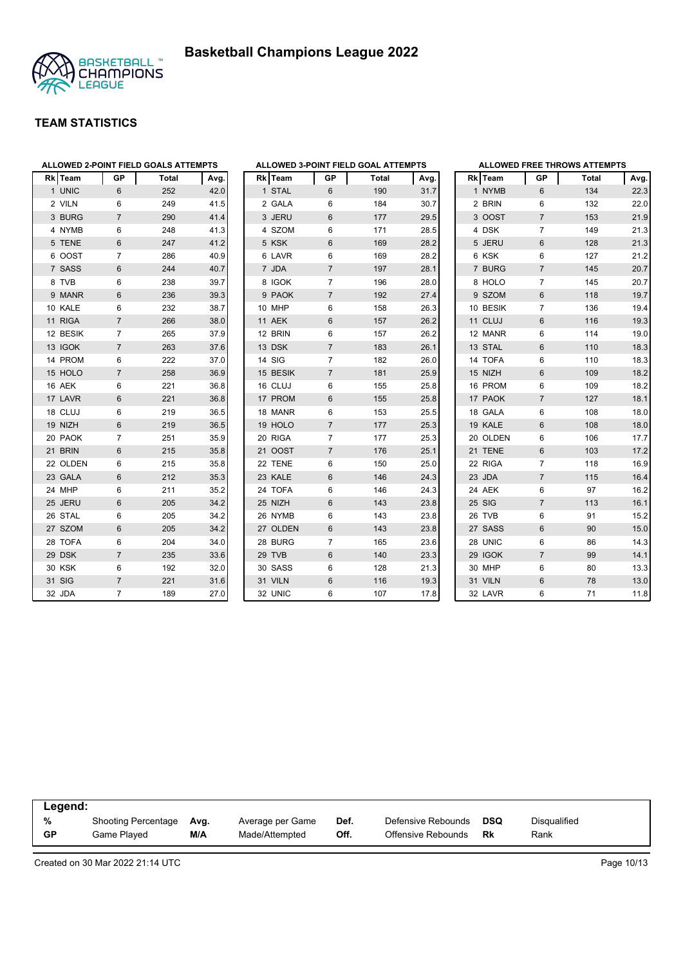



|              |                |                | ALLOWED 2-POINT FIELD GOALS ATTEMPTS |      | Α              |
|--------------|----------------|----------------|--------------------------------------|------|----------------|
|              | <b>Rk</b> Team | GP             | <b>Total</b>                         | Avg. | R              |
| $\mathbf{1}$ | <b>UNIC</b>    | 6              | 252                                  | 42.0 |                |
|              | 2 VILN         | 6              | 249                                  | 41.5 |                |
|              | 3 BURG         | $\overline{7}$ | 290                                  | 41.4 |                |
|              | 4 NYMB         | 6              | 248                                  | 41.3 |                |
|              | 5 TENE         | 6              | 247                                  | 41.2 |                |
|              | 6 OOST         | 7              | 286                                  | 40.9 |                |
|              | 7 SASS         | 6              | 244                                  | 40.7 |                |
|              | 8 TVB          | 6              | 238                                  | 39.7 |                |
|              | 9 MANR         | 6              | 236                                  | 39.3 |                |
|              | 10 KALE        | 6              | 232                                  | 38.7 | 1              |
| 11           | <b>RIGA</b>    | $\overline{7}$ | 266                                  | 38.0 | $\overline{1}$ |
|              | 12 BESIK       | 7              | 265                                  | 37.9 | 1              |
|              | 13 IGOK        | $\overline{7}$ | 263                                  | 37.6 | $\overline{1}$ |
|              | 14 PROM        | 6              | 222                                  | 37.0 | 1              |
|              | 15 HOLO        | $\overline{7}$ | 258                                  | 36.9 | $\overline{1}$ |
|              | 16 AEK         | 6              | 221                                  | 36.8 | 1              |
|              | 17 LAVR        | 6              | 221                                  | 36.8 | $\overline{1}$ |
|              | 18 CLUJ        | 6              | 219                                  | 36.5 | $\mathbf{1}$   |
|              | 19 NIZH        | 6              | 219                                  | 36.5 | $\overline{1}$ |
|              | 20 PAOK        | $\overline{7}$ | 251                                  | 35.9 | $\overline{2}$ |
|              | 21 BRIN        | 6              | 215                                  | 35.8 | $\overline{2}$ |
|              | 22 OLDEN       | 6              | 215                                  | 35.8 | $\overline{2}$ |
|              | 23 GALA        | 6              | 212                                  | 35.3 | $\overline{2}$ |
|              | 24 MHP         | 6              | 211                                  | 35.2 | $\overline{2}$ |
| 25           | <b>JERU</b>    | 6              | 205                                  | 34.2 | $\overline{2}$ |
|              | 26 STAL        | 6              | 205                                  | 34.2 | $\overline{2}$ |
|              | 27 SZOM        | 6              | 205                                  | 34.2 | $\overline{2}$ |
|              | 28 TOFA        | 6              | 204                                  | 34.0 | $\overline{2}$ |
| 29           | <b>DSK</b>     | $\overline{7}$ | 235                                  | 33.6 | $\overline{2}$ |
|              | 30 KSK         | 6              | 192                                  | 32.0 | 3              |
| 31           | SIG            | $\overline{7}$ | 221                                  | 31.6 | 3              |
|              | 32 JDA         | $\overline{7}$ | 189                                  | 27.0 | 3              |

|                |              |                | ALLOWED 3-POINT FIELD GOAL ATTEMPTS |      |
|----------------|--------------|----------------|-------------------------------------|------|
|                | Rk Team      | <b>GP</b>      | <b>Total</b>                        | Avg. |
| $\mathbf{1}$   | <b>STAL</b>  | 6              | 190                                 | 31.7 |
|                | 2 GALA       | 6              | 184                                 | 30.7 |
|                | 3 JERU       | 6              | 177                                 | 29.5 |
| 4              | <b>SZOM</b>  | 6              | 171                                 | 28.5 |
|                | 5 KSK        | 6              | 169                                 | 28.2 |
| 6              | LAVR         | 6              | 169                                 | 28.2 |
| $\overline{7}$ | <b>JDA</b>   | $\overline{7}$ | 197                                 | 28.1 |
|                | 8 IGOK       | 7              | 196                                 | 28.0 |
|                | 9 PAOK       | 7              | 192                                 | 27.4 |
|                | 10 MHP       | 6              | 158                                 | 26.3 |
| 11             | <b>AEK</b>   | 6              | 157                                 | 26.2 |
| 12             | <b>BRIN</b>  | 6              | 157                                 | 26.2 |
|                | 13 DSK       | $\overline{7}$ | 183                                 | 26.1 |
|                | 14 SIG       | 7              | 182                                 | 26.0 |
|                | 15 BESIK     | $\overline{7}$ | 181                                 | 25.9 |
|                | 16 CLUJ      | 6              | 155                                 | 25.8 |
|                | 17 PROM      | 6              | 155                                 | 25.8 |
|                | 18 MANR      | 6              | 153                                 | 25.5 |
|                | 19 HOLO      | 7              | 177                                 | 25.3 |
|                | 20 RIGA      | 7              | 177                                 | 25.3 |
| 21             | <b>OOST</b>  | $\overline{7}$ | 176                                 | 25.1 |
| 22             | <b>TENE</b>  | 6              | 150                                 | 25.0 |
| 23             | KALE         | 6              | 146                                 | 24.3 |
|                | 24 TOFA      | 6              | 146                                 | 24.3 |
|                | 25 NIZH      | 6              | 143                                 | 23.8 |
| 26             | <b>NYMB</b>  | 6              | 143                                 | 23.8 |
| 27             | <b>OLDEN</b> | 6              | 143                                 | 23.8 |
| 28             | <b>BURG</b>  | 7              | 165                                 | 23.6 |
| 29             | <b>TVB</b>   | 6              | 140                                 | 23.3 |
|                | 30 SASS      | 6              | 128                                 | 21.3 |
|                | 31 VILN      | 6              | 116                                 | 19.3 |
| 32             | <b>UNIC</b>  | 6              | 107                                 | 17.8 |

|    |                |                | <b>ALLOWED FREE THROWS ATTEMPTS</b> |      |
|----|----------------|----------------|-------------------------------------|------|
|    | <b>Rk</b> Team | <b>GP</b>      | <b>Total</b>                        | Avg. |
|    | 1 NYMB         | 6              | 134                                 | 22.3 |
|    | 2 BRIN         | 6              | 132                                 | 22.0 |
|    | 3 OOST         | $\overline{7}$ | 153                                 | 21.9 |
|    | 4 DSK          | 7              | 149                                 | 21.3 |
| 5  | <b>JERU</b>    | 6              | 128                                 | 21.3 |
|    | 6 KSK          | 6              | 127                                 | 21.2 |
|    | 7 BURG         | $\overline{7}$ | 145                                 | 20.7 |
|    | 8 HOLO         | 7              | 145                                 | 20.7 |
|    | 9 SZOM         | 6              | 118                                 | 19.7 |
|    | 10 BESIK       | 7              | 136                                 | 19.4 |
|    | 11 CLUJ        | 6              | 116                                 | 19.3 |
|    | 12 MANR        | 6              | 114                                 | 19.0 |
|    | 13 STAL        | 6              | 110                                 | 18.3 |
|    | 14 TOFA        | 6              | 110                                 | 18.3 |
|    | 15 NIZH        | 6              | 109                                 | 18.2 |
|    | 16 PROM        | 6              | 109                                 | 18.2 |
|    | 17 PAOK        | $\overline{7}$ | 127                                 | 18.1 |
|    | 18 GALA        | 6              | 108                                 | 18.0 |
|    | 19 KALE        | 6              | 108                                 | 18.0 |
|    | 20 OLDEN       | 6              | 106                                 | 17.7 |
|    | 21 TENE        | 6              | 103                                 | 17.2 |
|    | 22 RIGA        | $\overline{7}$ | 118                                 | 16.9 |
|    | 23 JDA         | 7              | 115                                 | 16.4 |
|    | 24 AEK         | 6              | 97                                  | 16.2 |
|    | 25 SIG         | $\overline{7}$ | 113                                 | 16.1 |
|    | 26 TVB         | 6              | 91                                  | 15.2 |
| 27 | <b>SASS</b>    | 6              | 90                                  | 15.0 |
|    | 28 UNIC        | 6              | 86                                  | 14.3 |
|    | 29 IGOK        | $\overline{7}$ | 99                                  | 14.1 |
|    | 30 MHP         | 6              | 80                                  | 13.3 |
|    | 31 VILN        | 6              | 78                                  | 13.0 |
|    | 32 LAVR        | 6              | 71                                  | 11.8 |

| Legend:   |                     |      |                  |      |                    |            |                     |  |
|-----------|---------------------|------|------------------|------|--------------------|------------|---------------------|--|
| %         | Shooting Percentage | Ava. | Average per Game | Def. | Defensive Rebounds | <b>DSQ</b> | <b>Disqualified</b> |  |
| <b>GP</b> | Game Plaved         | M/A  | Made/Attempted   | Off. | Offensive Rebounds | <b>Rk</b>  | Rank                |  |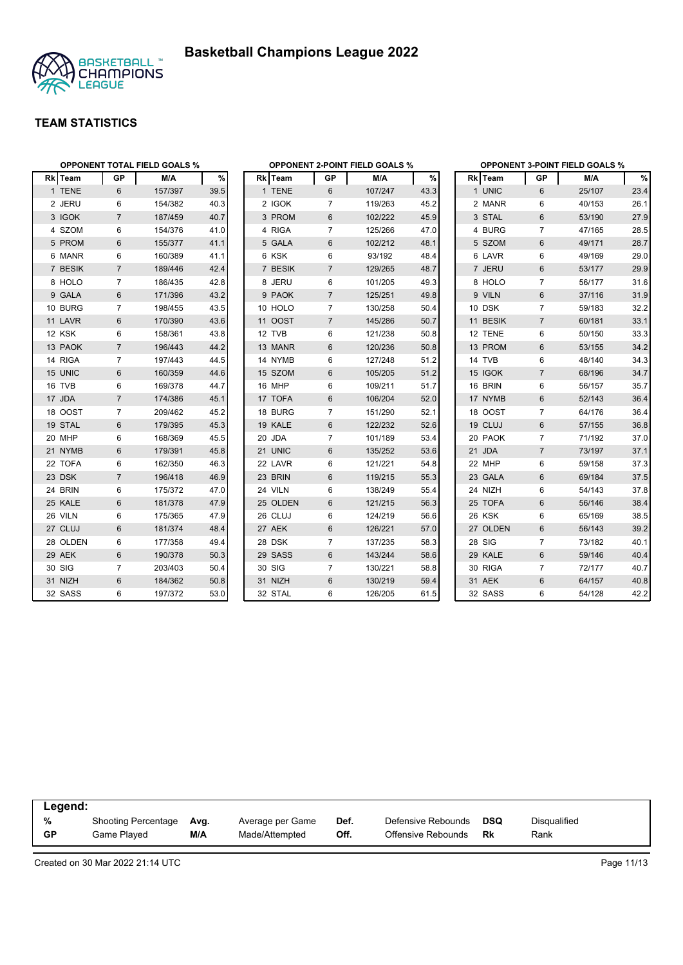



|          | <b>OPPONENT TOTAL FIELD GOALS %</b> |         |      |          |                | <b>OPPONENT 2-POINT FIELD GOALS %</b> |      |          |                | <b>OPPONENT 3-POINT FIELD GOALS %</b><br>%<br>M/A<br>25/107<br>23.4<br>40/153<br>26.1 |      |  |  |
|----------|-------------------------------------|---------|------|----------|----------------|---------------------------------------|------|----------|----------------|---------------------------------------------------------------------------------------|------|--|--|
| Rk Team  | GP                                  | M/A     | %    | Rk Team  | <b>GP</b>      | M/A                                   | $\%$ | Rk Team  | GP             |                                                                                       |      |  |  |
| 1 TENE   | 6                                   | 157/397 | 39.5 | 1 TENE   | 6              | 107/247                               | 43.3 | 1 UNIC   | 6              |                                                                                       |      |  |  |
| 2 JERU   | 6                                   | 154/382 | 40.3 | 2 IGOK   | 7              | 119/263                               | 45.2 | 2 MANR   | 6              |                                                                                       |      |  |  |
| 3 IGOK   | $\overline{7}$                      | 187/459 | 40.7 | 3 PROM   | 6              | 102/222                               | 45.9 | 3 STAL   | 6              | 53/190                                                                                | 27.9 |  |  |
| 4 SZOM   | 6                                   | 154/376 | 41.0 | 4 RIGA   | $\overline{7}$ | 125/266                               | 47.0 | 4 BURG   | $\overline{7}$ | 47/165                                                                                | 28.5 |  |  |
| 5 PROM   | 6                                   | 155/377 | 41.1 | 5 GALA   | $6\,$          | 102/212                               | 48.1 | 5 SZOM   | $6\phantom{1}$ | 49/171                                                                                | 28.7 |  |  |
| 6 MANR   | 6                                   | 160/389 | 41.1 | 6 KSK    | 6              | 93/192                                | 48.4 | 6 LAVR   | 6              | 49/169                                                                                | 29.0 |  |  |
| 7 BESIK  | $\overline{7}$                      | 189/446 | 42.4 | 7 BESIK  | $\overline{7}$ | 129/265                               | 48.7 | 7 JERU   | 6              | 53/177                                                                                | 29.9 |  |  |
| 8 HOLO   | $\overline{7}$                      | 186/435 | 42.8 | 8 JERU   | 6              | 101/205                               | 49.3 | 8 HOLO   | $\overline{7}$ | 56/177                                                                                | 31.6 |  |  |
| 9 GALA   | 6                                   | 171/396 | 43.2 | 9 PAOK   | $\overline{7}$ | 125/251                               | 49.8 | 9 VILN   | 6              | 37/116                                                                                | 31.9 |  |  |
| 10 BURG  | $\overline{7}$                      | 198/455 | 43.5 | 10 HOLO  | $\overline{7}$ | 130/258                               | 50.4 | 10 DSK   | $\overline{7}$ | 59/183                                                                                | 32.2 |  |  |
| 11 LAVR  | 6                                   | 170/390 | 43.6 | 11 OOST  | $\overline{7}$ | 145/286                               | 50.7 | 11 BESIK | $\overline{7}$ | 60/181                                                                                | 33.1 |  |  |
| 12 KSK   | 6                                   | 158/361 | 43.8 | 12 TVB   | 6              | 121/238                               | 50.8 | 12 TENE  | 6              | 50/150                                                                                | 33.3 |  |  |
| 13 PAOK  | $\overline{7}$                      | 196/443 | 44.2 | 13 MANR  | 6              | 120/236                               | 50.8 | 13 PROM  | 6              | 53/155                                                                                | 34.2 |  |  |
| 14 RIGA  | $\overline{7}$                      | 197/443 | 44.5 | 14 NYMB  | 6              | 127/248                               | 51.2 | 14 TVB   | 6              | 48/140                                                                                | 34.3 |  |  |
| 15 UNIC  | $6\phantom{1}$                      | 160/359 | 44.6 | 15 SZOM  | 6              | 105/205                               | 51.2 | 15 IGOK  | $\overline{7}$ | 68/196                                                                                | 34.7 |  |  |
| 16 TVB   | 6                                   | 169/378 | 44.7 | 16 MHP   | 6              | 109/211                               | 51.7 | 16 BRIN  | 6              | 56/157                                                                                | 35.7 |  |  |
| 17 JDA   | $\overline{7}$                      | 174/386 | 45.1 | 17 TOFA  | 6              | 106/204                               | 52.0 | 17 NYMB  | 6              | 52/143                                                                                | 36.4 |  |  |
| 18 OOST  | $\overline{7}$                      | 209/462 | 45.2 | 18 BURG  | $\overline{7}$ | 151/290                               | 52.1 | 18 OOST  | $\overline{7}$ | 64/176                                                                                | 36.4 |  |  |
| 19 STAL  | 6                                   | 179/395 | 45.3 | 19 KALE  | 6              | 122/232                               | 52.6 | 19 CLUJ  | 6              | 57/155                                                                                | 36.8 |  |  |
| 20 MHP   | 6                                   | 168/369 | 45.5 | 20 JDA   | $\overline{7}$ | 101/189                               | 53.4 | 20 PAOK  | $\overline{7}$ | 71/192                                                                                | 37.0 |  |  |
| 21 NYMB  | 6                                   | 179/391 | 45.8 | 21 UNIC  | 6              | 135/252                               | 53.6 | 21 JDA   | $\overline{7}$ | 73/197                                                                                | 37.1 |  |  |
| 22 TOFA  | 6                                   | 162/350 | 46.3 | 22 LAVR  | 6              | 121/221                               | 54.8 | 22 MHP   | 6              | 59/158                                                                                | 37.3 |  |  |
| 23 DSK   | $\overline{7}$                      | 196/418 | 46.9 | 23 BRIN  | 6              | 119/215                               | 55.3 | 23 GALA  | 6              | 69/184                                                                                | 37.5 |  |  |
| 24 BRIN  | 6                                   | 175/372 | 47.0 | 24 VILN  | 6              | 138/249                               | 55.4 | 24 NIZH  | 6              | 54/143                                                                                | 37.8 |  |  |
| 25 KALE  | $6\phantom{1}$                      | 181/378 | 47.9 | 25 OLDEN | 6              | 121/215                               | 56.3 | 25 TOFA  | 6              | 56/146                                                                                | 38.4 |  |  |
| 26 VILN  | 6                                   | 175/365 | 47.9 | 26 CLUJ  | 6              | 124/219                               | 56.6 | 26 KSK   | 6              | 65/169                                                                                | 38.5 |  |  |
| 27 CLUJ  | 6                                   | 181/374 | 48.4 | 27 AEK   | 6              | 126/221                               | 57.0 | 27 OLDEN | 6              | 56/143                                                                                | 39.2 |  |  |
| 28 OLDEN | 6                                   | 177/358 | 49.4 | 28 DSK   | $\overline{7}$ | 137/235                               | 58.3 | 28 SIG   | $\overline{7}$ | 73/182                                                                                | 40.1 |  |  |
| 29 AEK   | 6                                   | 190/378 | 50.3 | 29 SASS  | 6              | 143/244                               | 58.6 | 29 KALE  | 6              | 59/146                                                                                | 40.4 |  |  |
| 30 SIG   | $\overline{7}$                      | 203/403 | 50.4 | 30 SIG   | $\overline{7}$ | 130/221                               | 58.8 | 30 RIGA  | $\overline{7}$ | 72/177                                                                                | 40.7 |  |  |
| 31 NIZH  | 6                                   | 184/362 | 50.8 | 31 NIZH  | 6              | 130/219                               | 59.4 | 31 AEK   | 6              | 64/157                                                                                | 40.8 |  |  |
| 32 SASS  | 6                                   | 197/372 | 53.0 | 32 STAL  | 6              | 126/205                               | 61.5 | 32 SASS  | 6              | 54/128                                                                                | 42.2 |  |  |

|           | Legend:             |      |                  |      |                    |            |                     |  |  |  |  |  |
|-----------|---------------------|------|------------------|------|--------------------|------------|---------------------|--|--|--|--|--|
| %         | Shooting Percentage | Ava. | Average per Game | Def. | Defensive Rebounds | <b>DSQ</b> | <b>Disqualified</b> |  |  |  |  |  |
| <b>GP</b> | Game Plaved         | M/A  | Made/Attempted   | Off. | Offensive Rebounds | Rk         | Rank                |  |  |  |  |  |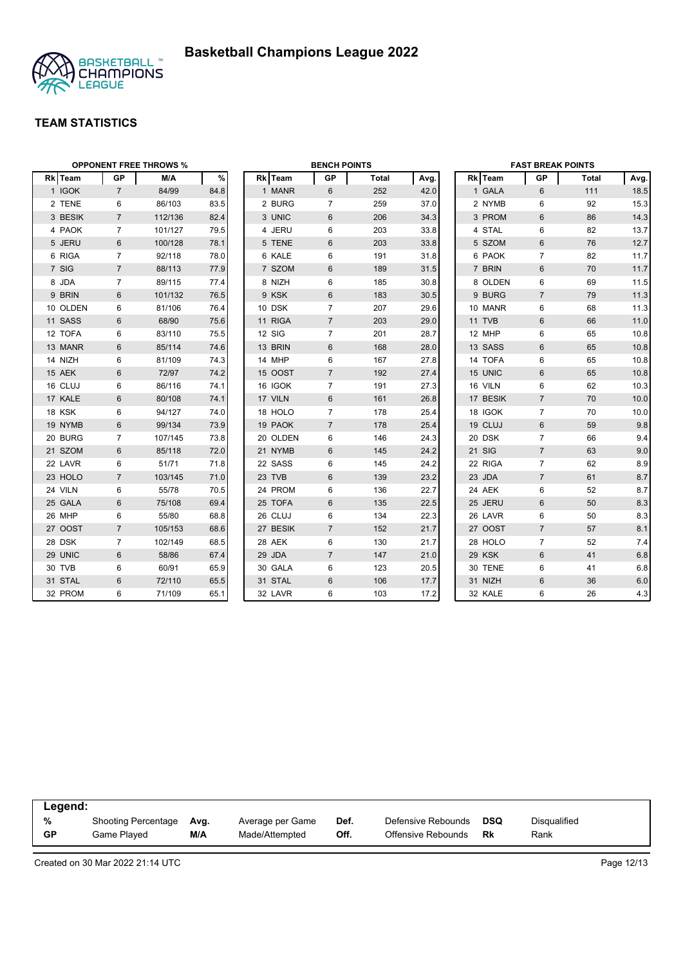



| <b>OPPONENT FREE THROWS %</b> |                |         |      |  | <b>BENCH POINTS</b> |                |              |      | <b>FAST BREAK POINTS</b> |          |                |              |      |
|-------------------------------|----------------|---------|------|--|---------------------|----------------|--------------|------|--------------------------|----------|----------------|--------------|------|
| Rk Team                       | <b>GP</b>      | M/A     | $\%$ |  | Rk Team             | GP             | <b>Total</b> | Avg. |                          | Rk Team  | <b>GP</b>      | <b>Total</b> | Avg. |
| 1 IGOK                        | $\overline{7}$ | 84/99   | 84.8 |  | 1 MANR              | 6              | 252          | 42.0 |                          | 1 GALA   | 6              | 111          | 18.5 |
| 2 TENE                        | 6              | 86/103  | 83.5 |  | 2 BURG              | $\overline{7}$ | 259          | 37.0 |                          | 2 NYMB   | 6              | 92           | 15.3 |
| 3 BESIK                       | $\overline{7}$ | 112/136 | 82.4 |  | 3 UNIC              | 6              | 206          | 34.3 |                          | 3 PROM   | $6\phantom{1}$ | 86           | 14.3 |
| 4 PAOK                        | $\overline{7}$ | 101/127 | 79.5 |  | 4 JERU              | 6              | 203          | 33.8 |                          | 4 STAL   | 6              | 82           | 13.7 |
| 5 JERU                        | 6              | 100/128 | 78.1 |  | 5 TENE              | 6              | 203          | 33.8 |                          | 5 SZOM   | $6\,$          | 76           | 12.7 |
| 6 RIGA                        | $\overline{7}$ | 92/118  | 78.0 |  | 6 KALE              | 6              | 191          | 31.8 |                          | 6 PAOK   | $\overline{7}$ | 82           | 11.7 |
| 7 SIG                         | $\overline{7}$ | 88/113  | 77.9 |  | 7 SZOM              | 6              | 189          | 31.5 |                          | 7 BRIN   | 6              | 70           | 11.7 |
| 8 JDA                         | $\overline{7}$ | 89/115  | 77.4 |  | 8 NIZH              | 6              | 185          | 30.8 |                          | 8 OLDEN  | 6              | 69           | 11.5 |
| 9 BRIN                        | 6              | 101/132 | 76.5 |  | 9 KSK               | 6              | 183          | 30.5 |                          | 9 BURG   | $\overline{7}$ | 79           | 11.3 |
| 10 OLDEN                      | 6              | 81/106  | 76.4 |  | 10 DSK              | $\overline{7}$ | 207          | 29.6 |                          | 10 MANR  | 6              | 68           | 11.3 |
| 11 SASS                       | 6              | 68/90   | 75.6 |  | 11 RIGA             | $\overline{7}$ | 203          | 29.0 |                          | 11 TVB   | 6              | 66           | 11.0 |
| 12 TOFA                       | 6              | 83/110  | 75.5 |  | <b>12 SIG</b>       | $\overline{7}$ | 201          | 28.7 |                          | 12 MHP   | 6              | 65           | 10.8 |
| 13 MANR                       | $\,6\,$        | 85/114  | 74.6 |  | 13 BRIN             | 6              | 168          | 28.0 |                          | 13 SASS  | $6\phantom{1}$ | 65           | 10.8 |
| 14 NIZH                       | 6              | 81/109  | 74.3 |  | 14 MHP              | 6              | 167          | 27.8 |                          | 14 TOFA  | 6              | 65           | 10.8 |
| 15 AEK                        | $6\phantom{1}$ | 72/97   | 74.2 |  | 15 OOST             | $\overline{7}$ | 192          | 27.4 |                          | 15 UNIC  | $\,6\,$        | 65           | 10.8 |
| 16 CLUJ                       | 6              | 86/116  | 74.1 |  | 16 IGOK             | $\overline{7}$ | 191          | 27.3 |                          | 16 VILN  | $\,6$          | 62           | 10.3 |
| 17 KALE                       | 6              | 80/108  | 74.1 |  | 17 VILN             | $6\phantom{1}$ | 161          | 26.8 |                          | 17 BESIK | $\overline{7}$ | 70           | 10.0 |
| 18 KSK                        | 6              | 94/127  | 74.0 |  | 18 HOLO             | $\overline{7}$ | 178          | 25.4 |                          | 18 IGOK  | $\overline{7}$ | 70           | 10.0 |
| 19 NYMB                       | 6              | 99/134  | 73.9 |  | 19 PAOK             | $\overline{7}$ | 178          | 25.4 |                          | 19 CLUJ  | 6              | 59           | 9.8  |
| 20 BURG                       | $\overline{7}$ | 107/145 | 73.8 |  | 20 OLDEN            | 6              | 146          | 24.3 |                          | 20 DSK   | $\overline{7}$ | 66           | 9.4  |
| 21 SZOM                       | 6              | 85/118  | 72.0 |  | 21 NYMB             | 6              | 145          | 24.2 |                          | 21 SIG   | $\overline{7}$ | 63           | 9.0  |
| 22 LAVR                       | 6              | 51/71   | 71.8 |  | 22 SASS             | 6              | 145          | 24.2 |                          | 22 RIGA  | $\overline{7}$ | 62           | 8.9  |
| 23 HOLO                       | $\overline{7}$ | 103/145 | 71.0 |  | 23 TVB              | 6              | 139          | 23.2 |                          | 23 JDA   | $\overline{7}$ | 61           | 8.7  |
| 24 VILN                       | 6              | 55/78   | 70.5 |  | 24 PROM             | 6              | 136          | 22.7 |                          | 24 AEK   | 6              | 52           | 8.7  |
| 25 GALA                       | $6\phantom{1}$ | 75/108  | 69.4 |  | 25 TOFA             | 6              | 135          | 22.5 |                          | 25 JERU  | $\,6\,$        | 50           | 8.3  |
| 26 MHP                        | 6              | 55/80   | 68.8 |  | 26 CLUJ             | 6              | 134          | 22.3 |                          | 26 LAVR  | $\,6$          | 50           | 8.3  |
| 27 OOST                       | $\overline{7}$ | 105/153 | 68.6 |  | 27 BESIK            | $\overline{7}$ | 152          | 21.7 |                          | 27 OOST  | $\overline{7}$ | 57           | 8.1  |
| 28 DSK                        | $\overline{7}$ | 102/149 | 68.5 |  | 28 AEK              | 6              | 130          | 21.7 |                          | 28 HOLO  | $\overline{7}$ | 52           | 7.4  |
| 29 UNIC                       | 6              | 58/86   | 67.4 |  | 29 JDA              | $\overline{7}$ | 147          | 21.0 |                          | 29 KSK   | 6              | 41           | 6.8  |
| 30 TVB                        | 6              | 60/91   | 65.9 |  | 30 GALA             | 6              | 123          | 20.5 |                          | 30 TENE  | 6              | 41           | 6.8  |
| 31 STAL                       | 6              | 72/110  | 65.5 |  | 31 STAL             | 6              | 106          | 17.7 |                          | 31 NIZH  | 6              | 36           | 6.0  |
| 32 PROM                       | 6              | 71/109  | 65.1 |  | 32 LAVR             | 6              | 103          | 17.2 |                          | 32 KALE  | 6              | 26           | 4.3  |

| Legend:   |                            |      |                  |      |                    |     |              |  |  |
|-----------|----------------------------|------|------------------|------|--------------------|-----|--------------|--|--|
| %         | <b>Shooting Percentage</b> | Avg. | Average per Game | Def. | Defensive Rebounds | DSQ | Disqualified |  |  |
| <b>GP</b> | Game Played                | M/A  | Made/Attempted   | Off. | Offensive Rebounds | Rk  | Rank         |  |  |